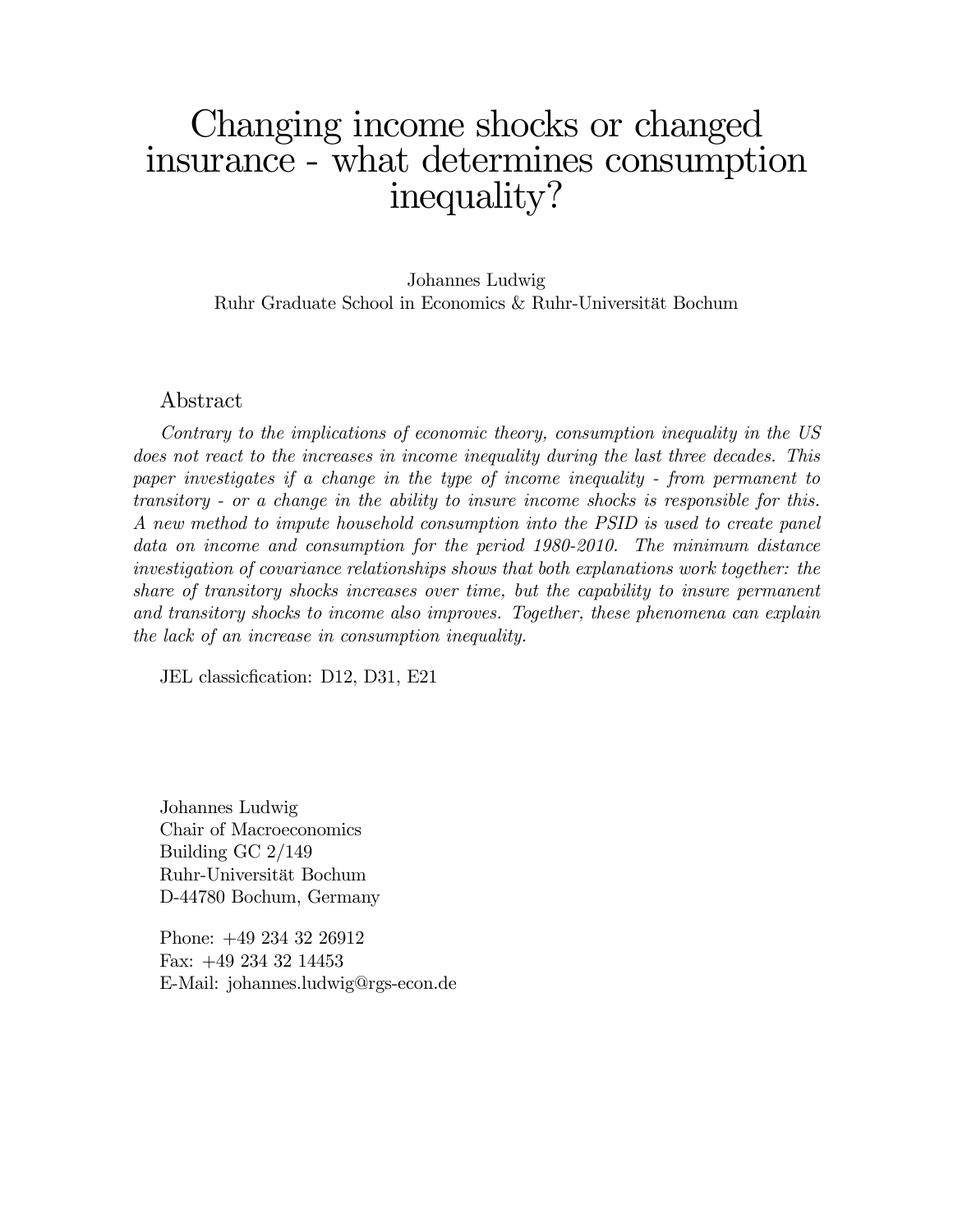# Changing income shocks or changed insurance - what determines consumption inequality?

Johannes Ludwig Ruhr Graduate School in Economics & Ruhr-Universität Bochum

#### Abstract

Contrary to the implications of economic theory, consumption inequality in the US does not react to the increases in income inequality during the last three decades. This paper investigates if a change in the type of income inequality - from permanent to transitory - or a change in the ability to insure income shocks is responsible for this. A new method to impute household consumption into the PSID is used to create panel data on income and consumption for the period 1980-2010. The minimum distance investigation of covariance relationships shows that both explanations work together: the share of transitory shocks increases over time, but the capability to insure permanent and transitory shocks to income also improves. Together, these phenomena can explain the lack of an increase in consumption inequality.

JEL classic fication: D12, D31, E21

Johannes Ludwig Chair of Macroeconomics Building GC 2/149 Ruhr-Universit‰t Bochum D-44780 Bochum, Germany

Phone: +49 234 32 26912 Fax: +49 234 32 14453 E-Mail: johannes.ludwig@rgs-econ.de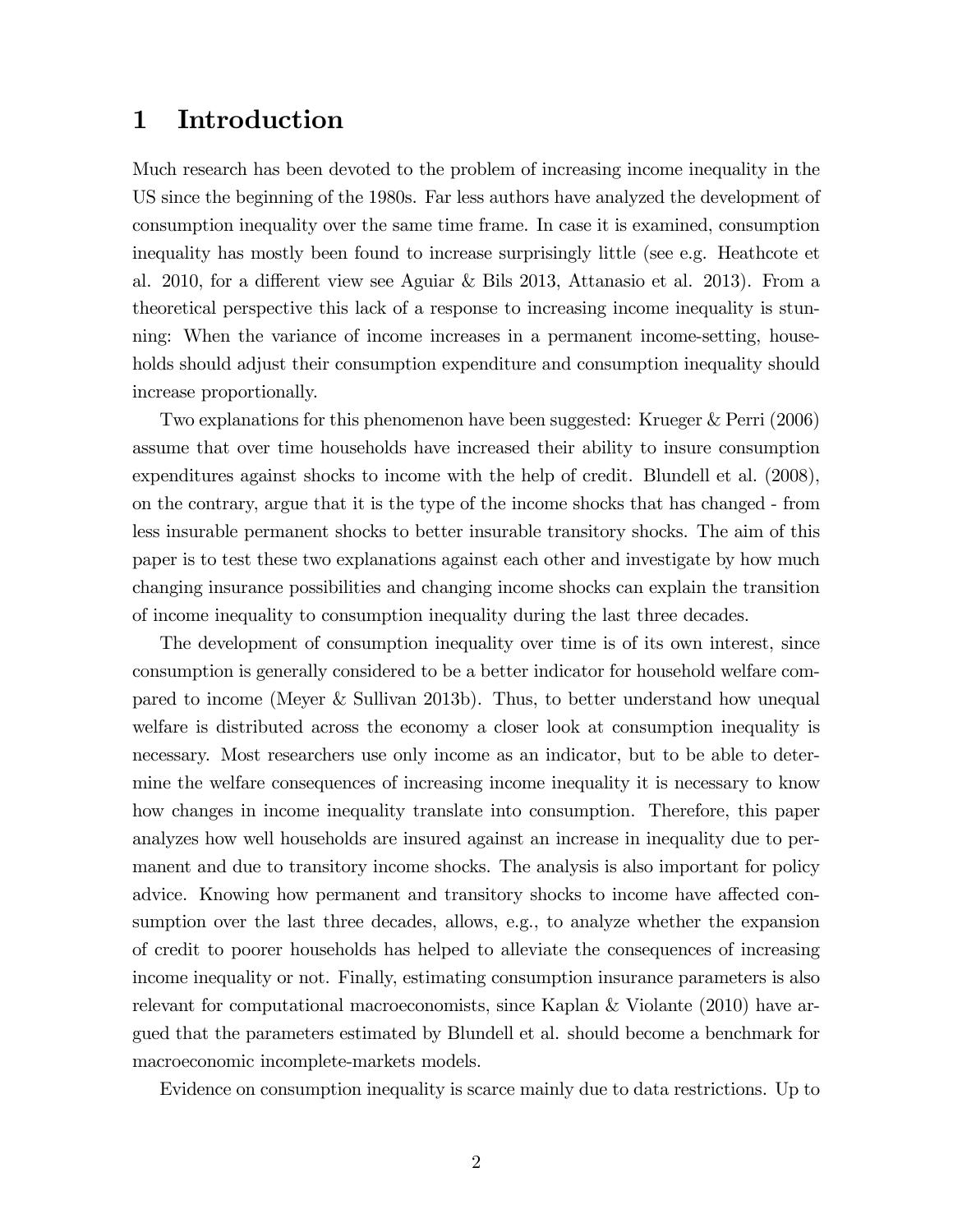# 1 Introduction

Much research has been devoted to the problem of increasing income inequality in the US since the beginning of the 1980s. Far less authors have analyzed the development of consumption inequality over the same time frame. In case it is examined, consumption inequality has mostly been found to increase surprisingly little (see e.g. Heathcote et al. 2010, for a different view see Aguiar & Bils 2013, Attanasio et al. 2013). From a theoretical perspective this lack of a response to increasing income inequality is stunning: When the variance of income increases in a permanent income-setting, households should adjust their consumption expenditure and consumption inequality should increase proportionally.

Two explanations for this phenomenon have been suggested: Krueger & Perri (2006) assume that over time households have increased their ability to insure consumption expenditures against shocks to income with the help of credit. Blundell et al. (2008), on the contrary, argue that it is the type of the income shocks that has changed - from less insurable permanent shocks to better insurable transitory shocks. The aim of this paper is to test these two explanations against each other and investigate by how much changing insurance possibilities and changing income shocks can explain the transition of income inequality to consumption inequality during the last three decades.

The development of consumption inequality over time is of its own interest, since consumption is generally considered to be a better indicator for household welfare compared to income (Meyer & Sullivan 2013b). Thus, to better understand how unequal welfare is distributed across the economy a closer look at consumption inequality is necessary. Most researchers use only income as an indicator, but to be able to determine the welfare consequences of increasing income inequality it is necessary to know how changes in income inequality translate into consumption. Therefore, this paper analyzes how well households are insured against an increase in inequality due to permanent and due to transitory income shocks. The analysis is also important for policy advice. Knowing how permanent and transitory shocks to income have affected consumption over the last three decades, allows, e.g., to analyze whether the expansion of credit to poorer households has helped to alleviate the consequences of increasing income inequality or not. Finally, estimating consumption insurance parameters is also relevant for computational macroeconomists, since Kaplan & Violante (2010) have argued that the parameters estimated by Blundell et al. should become a benchmark for macroeconomic incomplete-markets models.

Evidence on consumption inequality is scarce mainly due to data restrictions. Up to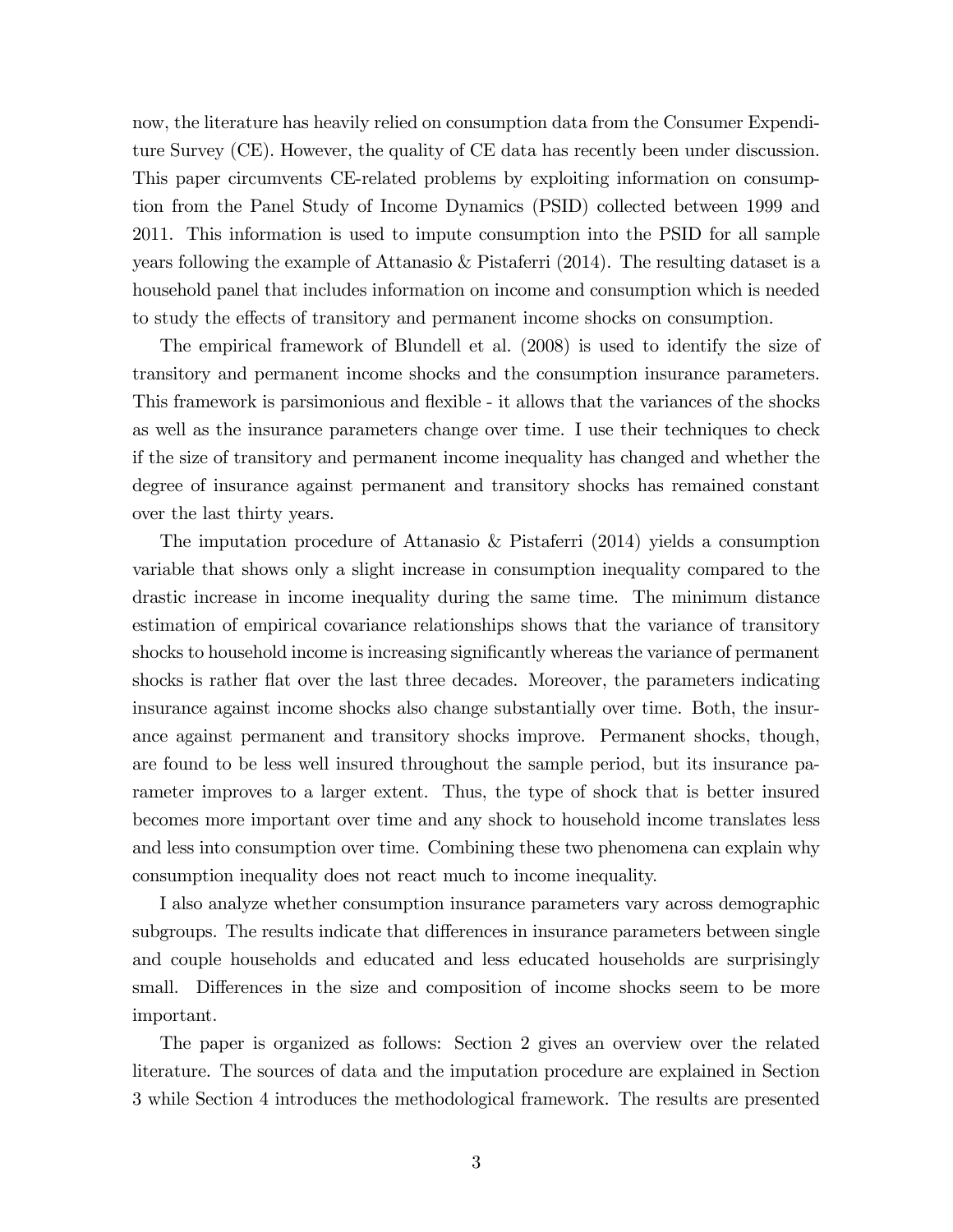now, the literature has heavily relied on consumption data from the Consumer Expenditure Survey (CE). However, the quality of CE data has recently been under discussion. This paper circumvents CE-related problems by exploiting information on consumption from the Panel Study of Income Dynamics (PSID) collected between 1999 and 2011. This information is used to impute consumption into the PSID for all sample years following the example of Attanasio  $\&$  Pistaferri (2014). The resulting dataset is a household panel that includes information on income and consumption which is needed to study the effects of transitory and permanent income shocks on consumption.

The empirical framework of Blundell et al. (2008) is used to identify the size of transitory and permanent income shocks and the consumption insurance parameters. This framework is parsimonious and flexible - it allows that the variances of the shocks as well as the insurance parameters change over time. I use their techniques to check if the size of transitory and permanent income inequality has changed and whether the degree of insurance against permanent and transitory shocks has remained constant over the last thirty years.

The imputation procedure of Attanasio & Pistaferri (2014) yields a consumption variable that shows only a slight increase in consumption inequality compared to the drastic increase in income inequality during the same time. The minimum distance estimation of empirical covariance relationships shows that the variance of transitory shocks to household income is increasing significantly whereas the variance of permanent shocks is rather flat over the last three decades. Moreover, the parameters indicating insurance against income shocks also change substantially over time. Both, the insurance against permanent and transitory shocks improve. Permanent shocks, though, are found to be less well insured throughout the sample period, but its insurance parameter improves to a larger extent. Thus, the type of shock that is better insured becomes more important over time and any shock to household income translates less and less into consumption over time. Combining these two phenomena can explain why consumption inequality does not react much to income inequality.

I also analyze whether consumption insurance parameters vary across demographic subgroups. The results indicate that differences in insurance parameters between single and couple households and educated and less educated households are surprisingly small. Differences in the size and composition of income shocks seem to be more important.

The paper is organized as follows: Section 2 gives an overview over the related literature. The sources of data and the imputation procedure are explained in Section 3 while Section 4 introduces the methodological framework. The results are presented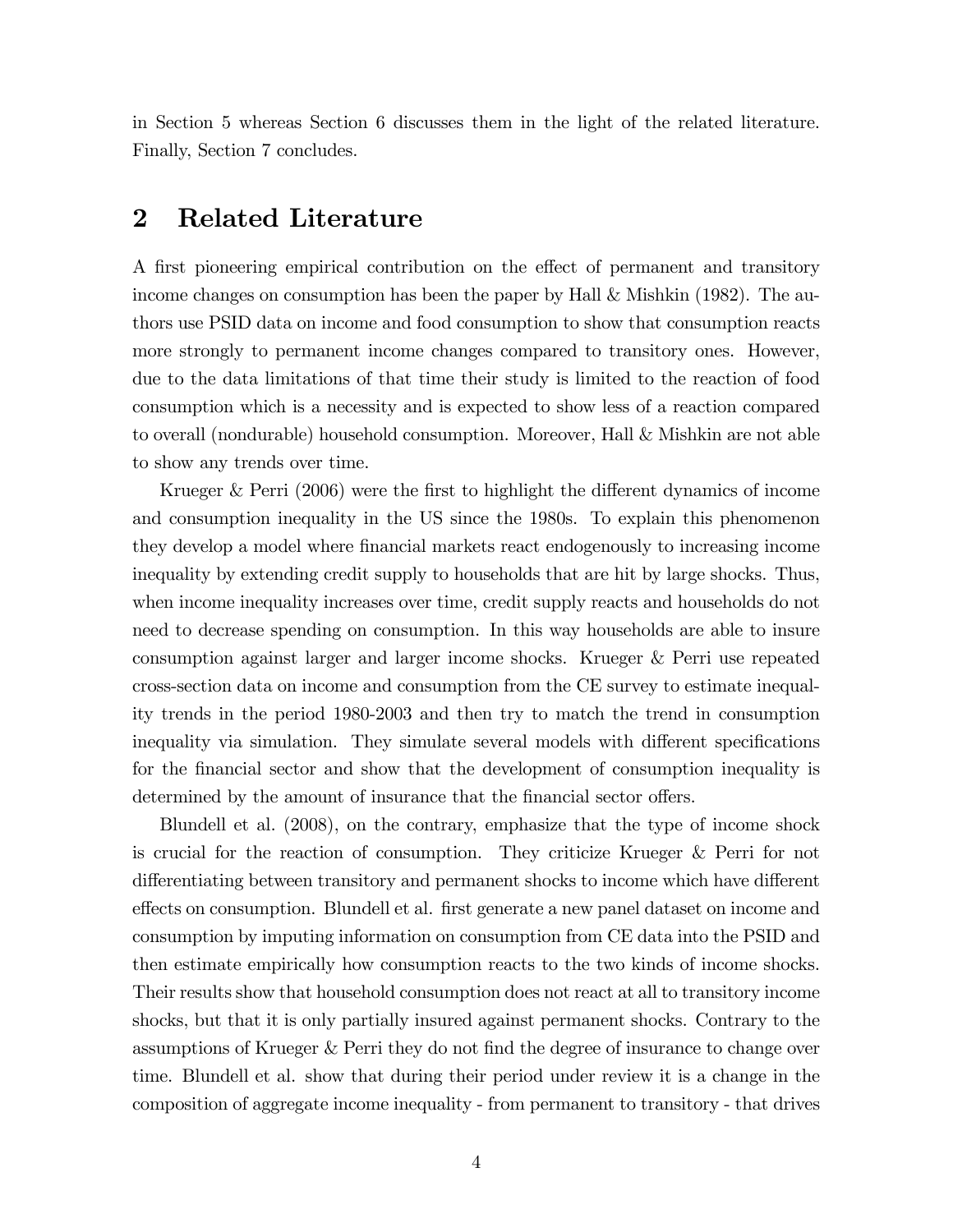in Section 5 whereas Section 6 discusses them in the light of the related literature. Finally, Section 7 concludes.

# 2 Related Literature

A first pioneering empirical contribution on the effect of permanent and transitory income changes on consumption has been the paper by Hall & Mishkin (1982). The authors use PSID data on income and food consumption to show that consumption reacts more strongly to permanent income changes compared to transitory ones. However, due to the data limitations of that time their study is limited to the reaction of food consumption which is a necessity and is expected to show less of a reaction compared to overall (nondurable) household consumption. Moreover, Hall & Mishkin are not able to show any trends over time.

Krueger & Perri  $(2006)$  were the first to highlight the different dynamics of income and consumption inequality in the US since the 1980s. To explain this phenomenon they develop a model where Önancial markets react endogenously to increasing income inequality by extending credit supply to households that are hit by large shocks. Thus, when income inequality increases over time, credit supply reacts and households do not need to decrease spending on consumption. In this way households are able to insure consumption against larger and larger income shocks. Krueger & Perri use repeated cross-section data on income and consumption from the CE survey to estimate inequality trends in the period 1980-2003 and then try to match the trend in consumption inequality via simulation. They simulate several models with different specifications for the financial sector and show that the development of consumption inequality is determined by the amount of insurance that the financial sector offers.

Blundell et al. (2008), on the contrary, emphasize that the type of income shock is crucial for the reaction of consumption. They criticize Krueger & Perri for not differentiating between transitory and permanent shocks to income which have different effects on consumption. Blundell et al. first generate a new panel dataset on income and consumption by imputing information on consumption from CE data into the PSID and then estimate empirically how consumption reacts to the two kinds of income shocks. Their results show that household consumption does not react at all to transitory income shocks, but that it is only partially insured against permanent shocks. Contrary to the assumptions of Krueger & Perri they do not find the degree of insurance to change over time. Blundell et al. show that during their period under review it is a change in the composition of aggregate income inequality - from permanent to transitory - that drives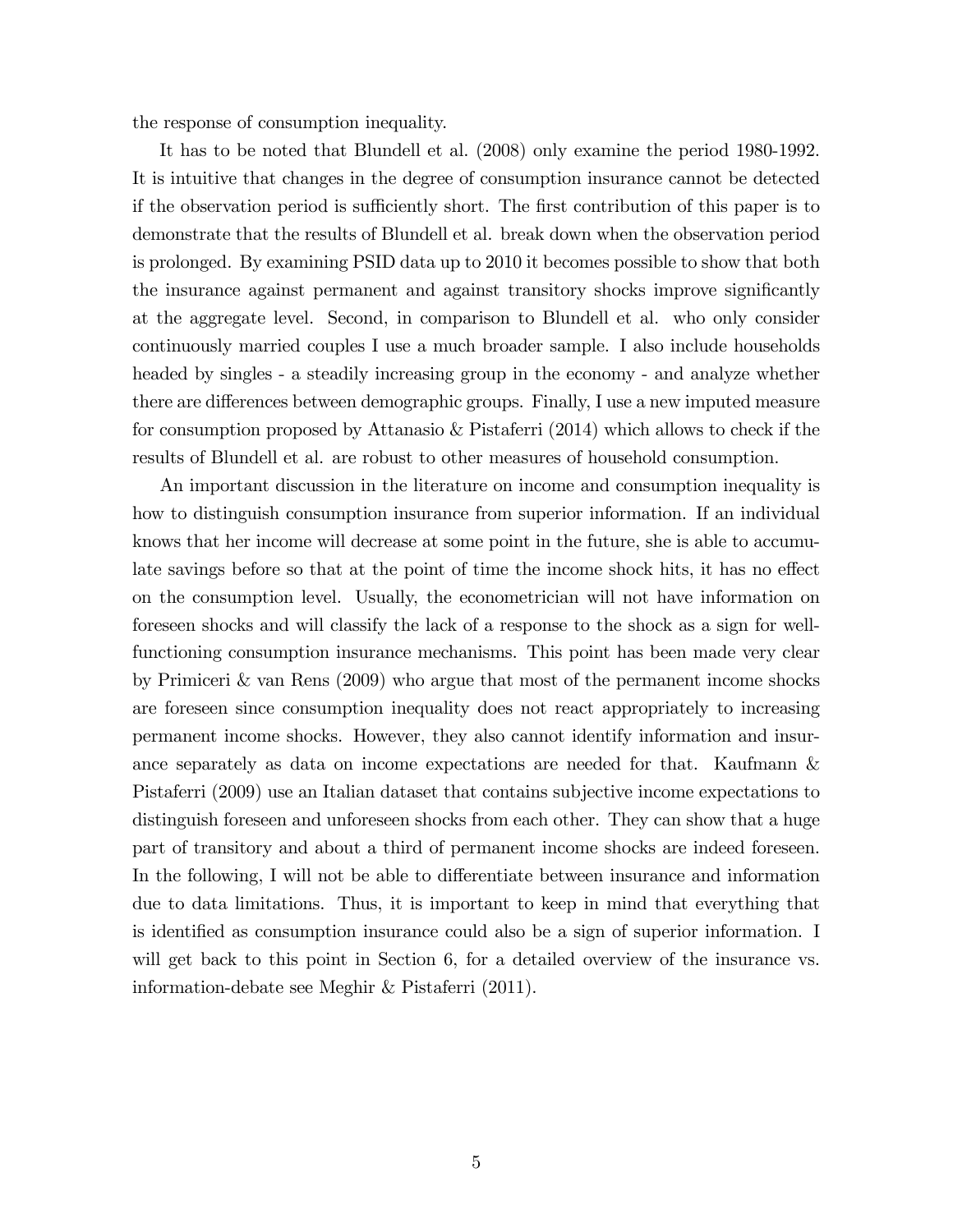the response of consumption inequality.

It has to be noted that Blundell et al. (2008) only examine the period 1980-1992. It is intuitive that changes in the degree of consumption insurance cannot be detected if the observation period is sufficiently short. The first contribution of this paper is to demonstrate that the results of Blundell et al. break down when the observation period is prolonged. By examining PSID data up to 2010 it becomes possible to show that both the insurance against permanent and against transitory shocks improve significantly at the aggregate level. Second, in comparison to Blundell et al. who only consider continuously married couples I use a much broader sample. I also include households headed by singles - a steadily increasing group in the economy - and analyze whether there are differences between demographic groups. Finally, I use a new imputed measure for consumption proposed by Attanasio & Pistaferri (2014) which allows to check if the results of Blundell et al. are robust to other measures of household consumption.

An important discussion in the literature on income and consumption inequality is how to distinguish consumption insurance from superior information. If an individual knows that her income will decrease at some point in the future, she is able to accumulate savings before so that at the point of time the income shock hits, it has no effect on the consumption level. Usually, the econometrician will not have information on foreseen shocks and will classify the lack of a response to the shock as a sign for wellfunctioning consumption insurance mechanisms. This point has been made very clear by Primiceri & van Rens (2009) who argue that most of the permanent income shocks are foreseen since consumption inequality does not react appropriately to increasing permanent income shocks. However, they also cannot identify information and insurance separately as data on income expectations are needed for that. Kaufmann & Pistaferri (2009) use an Italian dataset that contains subjective income expectations to distinguish foreseen and unforeseen shocks from each other. They can show that a huge part of transitory and about a third of permanent income shocks are indeed foreseen. In the following, I will not be able to differentiate between insurance and information due to data limitations. Thus, it is important to keep in mind that everything that is identified as consumption insurance could also be a sign of superior information. I will get back to this point in Section 6, for a detailed overview of the insurance vs. information-debate see Meghir & Pistaferri (2011).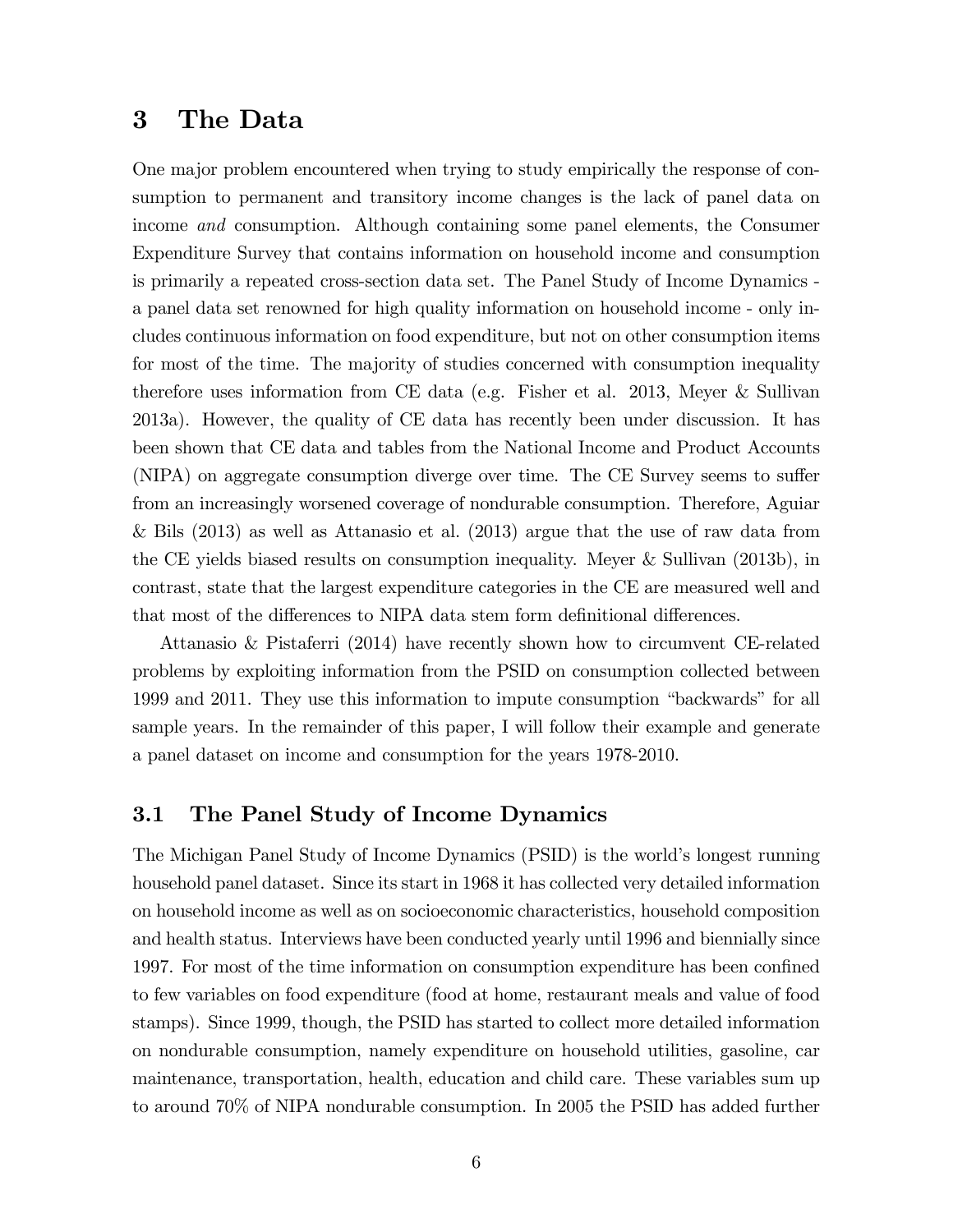### 3 The Data

One major problem encountered when trying to study empirically the response of consumption to permanent and transitory income changes is the lack of panel data on income and consumption. Although containing some panel elements, the Consumer Expenditure Survey that contains information on household income and consumption is primarily a repeated cross-section data set. The Panel Study of Income Dynamics a panel data set renowned for high quality information on household income - only includes continuous information on food expenditure, but not on other consumption items for most of the time. The majority of studies concerned with consumption inequality therefore uses information from CE data (e.g. Fisher et al. 2013, Meyer & Sullivan 2013a). However, the quality of CE data has recently been under discussion. It has been shown that CE data and tables from the National Income and Product Accounts  $(NIPA)$  on aggregate consumption diverge over time. The CE Survey seems to suffer from an increasingly worsened coverage of nondurable consumption. Therefore, Aguiar & Bils (2013) as well as Attanasio et al. (2013) argue that the use of raw data from the CE yields biased results on consumption inequality. Meyer & Sullivan (2013b), in contrast, state that the largest expenditure categories in the CE are measured well and that most of the differences to NIPA data stem form definitional differences.

Attanasio & Pistaferri (2014) have recently shown how to circumvent CE-related problems by exploiting information from the PSID on consumption collected between 1999 and 2011. They use this information to impute consumption "backwards" for all sample years. In the remainder of this paper, I will follow their example and generate a panel dataset on income and consumption for the years 1978-2010.

#### 3.1 The Panel Study of Income Dynamics

The Michigan Panel Study of Income Dynamics (PSID) is the world's longest running household panel dataset. Since its start in 1968 it has collected very detailed information on household income as well as on socioeconomic characteristics, household composition and health status. Interviews have been conducted yearly until 1996 and biennially since 1997. For most of the time information on consumption expenditure has been confined to few variables on food expenditure (food at home, restaurant meals and value of food stamps). Since 1999, though, the PSID has started to collect more detailed information on nondurable consumption, namely expenditure on household utilities, gasoline, car maintenance, transportation, health, education and child care. These variables sum up to around 70% of NIPA nondurable consumption. In 2005 the PSID has added further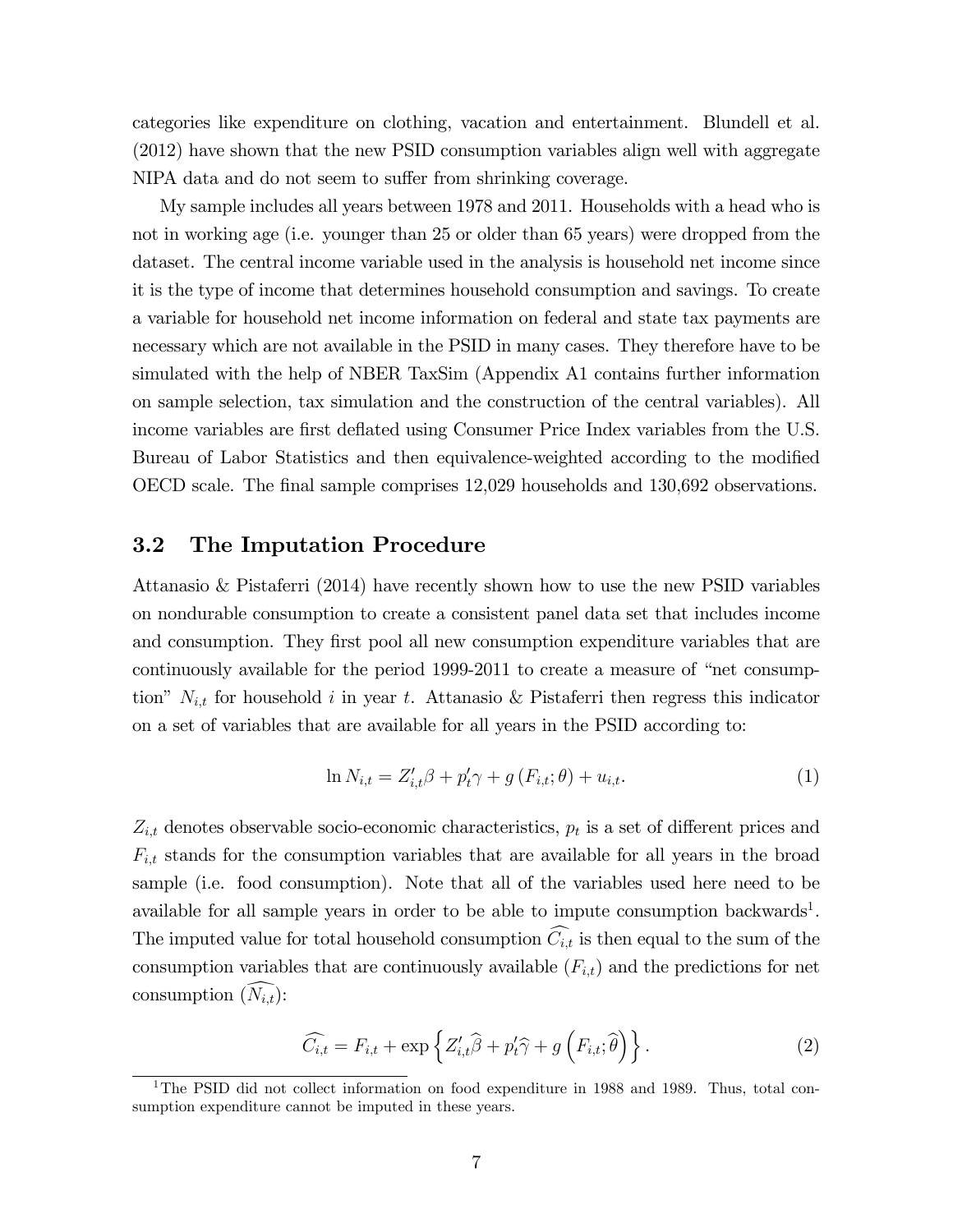categories like expenditure on clothing, vacation and entertainment. Blundell et al. (2012) have shown that the new PSID consumption variables align well with aggregate NIPA data and do not seem to suffer from shrinking coverage.

My sample includes all years between 1978 and 2011. Households with a head who is not in working age (i.e. younger than 25 or older than 65 years) were dropped from the dataset. The central income variable used in the analysis is household net income since it is the type of income that determines household consumption and savings. To create a variable for household net income information on federal and state tax payments are necessary which are not available in the PSID in many cases. They therefore have to be simulated with the help of NBER TaxSim (Appendix A1 contains further information on sample selection, tax simulation and the construction of the central variables). All income variables are first deflated using Consumer Price Index variables from the U.S. Bureau of Labor Statistics and then equivalence-weighted according to the modified OECD scale. The Önal sample comprises 12,029 households and 130,692 observations.

#### 3.2 The Imputation Procedure

Attanasio & Pistaferri (2014) have recently shown how to use the new PSID variables on nondurable consumption to create a consistent panel data set that includes income and consumption. They first pool all new consumption expenditure variables that are continuously available for the period  $1999-2011$  to create a measure of "net consumption"  $N_{i,t}$  for household i in year t. Attanasio & Pistaferri then regress this indicator on a set of variables that are available for all years in the PSID according to:

$$
\ln N_{i,t} = Z'_{i,t}\beta + p'_t\gamma + g(F_{i,t};\theta) + u_{i,t}.
$$
 (1)

 $Z_{i,t}$  denotes observable socio-economic characteristics,  $p_t$  is a set of different prices and  $F_{i,t}$  stands for the consumption variables that are available for all years in the broad sample (i.e. food consumption). Note that all of the variables used here need to be available for all sample years in order to be able to impute consumption backwards<sup>1</sup>. The imputed value for total household consumption  $\widehat{C}_{i,t}$  is then equal to the sum of the consumption variables that are continuously available  $(F_{i,t})$  and the predictions for net consumption  $(\widehat{N_{i,t}})$ :

$$
\widehat{C_{i,t}} = F_{i,t} + \exp\left\{Z'_{i,t}\widehat{\beta} + p'_t\widehat{\gamma} + g\left(F_{i,t};\widehat{\theta}\right)\right\}.
$$
 (2)

<sup>&</sup>lt;sup>1</sup>The PSID did not collect information on food expenditure in 1988 and 1989. Thus, total consumption expenditure cannot be imputed in these years.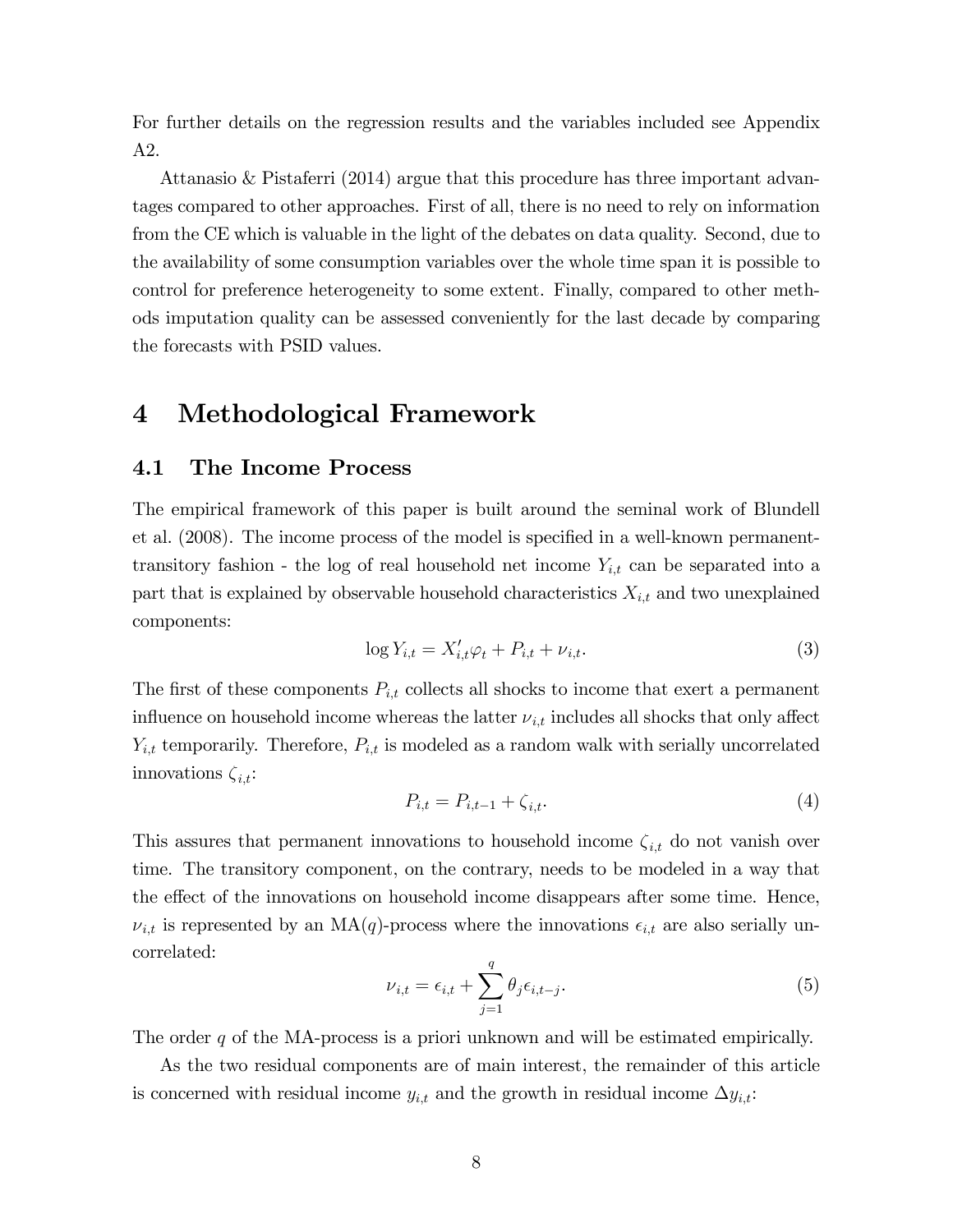For further details on the regression results and the variables included see Appendix A2.

Attanasio & Pistaferri (2014) argue that this procedure has three important advantages compared to other approaches. First of all, there is no need to rely on information from the CE which is valuable in the light of the debates on data quality. Second, due to the availability of some consumption variables over the whole time span it is possible to control for preference heterogeneity to some extent. Finally, compared to other methods imputation quality can be assessed conveniently for the last decade by comparing the forecasts with PSID values.

# 4 Methodological Framework

#### 4.1 The Income Process

The empirical framework of this paper is built around the seminal work of Blundell et al. (2008). The income process of the model is specified in a well-known permanenttransitory fashion - the log of real household net income  $Y_{i,t}$  can be separated into a part that is explained by observable household characteristics  $X_{i,t}$  and two unexplained components:

$$
\log Y_{i,t} = X'_{i,t}\varphi_t + P_{i,t} + \nu_{i,t}.\tag{3}
$$

The first of these components  $P_{i,t}$  collects all shocks to income that exert a permanent influence on household income whereas the latter  $\nu_{i,t}$  includes all shocks that only affect  $Y_{i,t}$  temporarily. Therefore,  $P_{i,t}$  is modeled as a random walk with serially uncorrelated innovations  $\zeta_{i,t}$ :

$$
P_{i,t} = P_{i,t-1} + \zeta_{i,t}.\tag{4}
$$

This assures that permanent innovations to household income  $\zeta_{i,t}$  do not vanish over time. The transitory component, on the contrary, needs to be modeled in a way that the effect of the innovations on household income disappears after some time. Hence,  $\nu_{i,t}$  is represented by an MA(q)-process where the innovations  $\epsilon_{i,t}$  are also serially uncorrelated:

$$
\nu_{i,t} = \epsilon_{i,t} + \sum_{j=1}^{q} \theta_j \epsilon_{i,t-j}.
$$
\n(5)

The order q of the MA-process is a priori unknown and will be estimated empirically.

As the two residual components are of main interest, the remainder of this article is concerned with residual income  $y_{i,t}$  and the growth in residual income  $\Delta y_{i,t}$ :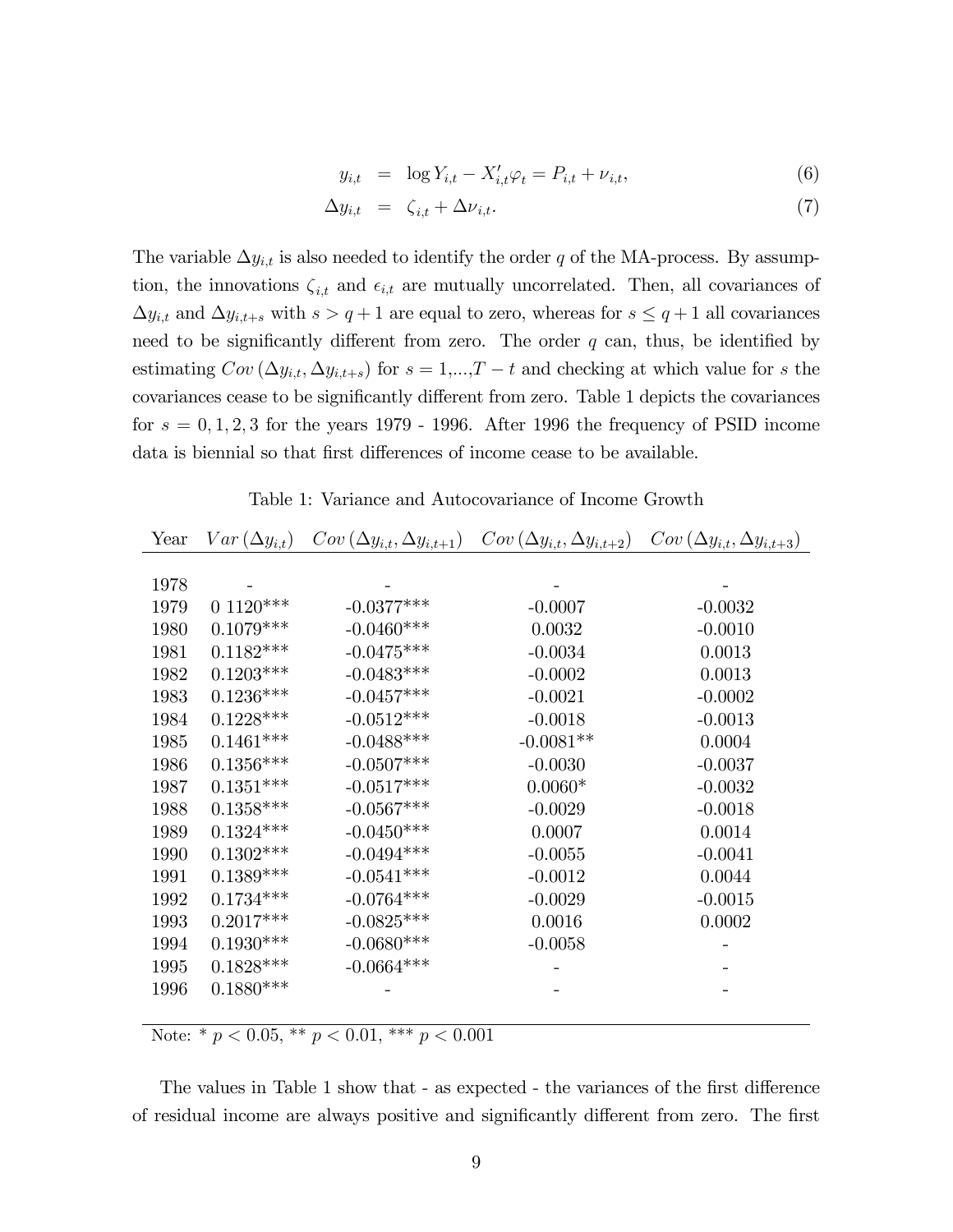$$
y_{i,t} = \log Y_{i,t} - X'_{i,t} \varphi_t = P_{i,t} + \nu_{i,t}, \tag{6}
$$

$$
\Delta y_{i,t} = \zeta_{i,t} + \Delta \nu_{i,t}.\tag{7}
$$

The variable  $\Delta y_{i,t}$  is also needed to identify the order q of the MA-process. By assumption, the innovations  $\zeta_{i,t}$  and  $\epsilon_{i,t}$  are mutually uncorrelated. Then, all covariances of  $\Delta y_{i,t}$  and  $\Delta y_{i,t+s}$  with  $s > q+1$  are equal to zero, whereas for  $s \leq q+1$  all covariances need to be significantly different from zero. The order  $q$  can, thus, be identified by estimating  $Cov(\Delta y_{i,t}, \Delta y_{i,t+s})$  for  $s = 1,...,T-t$  and checking at which value for s the covariances cease to be significantly different from zero. Table 1 depicts the covariances for  $s = 0, 1, 2, 3$  for the years 1979 - 1996. After 1996 the frequency of PSID income data is biennial so that first differences of income cease to be available.

Table 1: Variance and Autocovariance of Income Growth

| Year | $Var\left(\Delta y_{i,t}\right)$ | $Cov(\Delta y_{i,t}, \Delta y_{i,t+1})$ | $Cov(\Delta y_{i,t}, \Delta y_{i,t+2})$ | $Cov(\Delta y_{i,t}, \Delta y_{i,t+3})$ |
|------|----------------------------------|-----------------------------------------|-----------------------------------------|-----------------------------------------|
|      |                                  |                                         |                                         |                                         |
| 1978 |                                  |                                         |                                         |                                         |
| 1979 | $0.1120***$                      | $-0.0377***$                            | $-0.0007$                               | $-0.0032$                               |
| 1980 | $0.1079***$                      | $-0.0460***$                            | 0.0032                                  | $-0.0010$                               |
| 1981 | $0.1182***$                      | $-0.0475***$                            | $-0.0034$                               | 0.0013                                  |
| 1982 | $0.1203***$                      | $-0.0483***$                            | $-0.0002$                               | 0.0013                                  |
| 1983 | $0.1236***$                      | $-0.0457***$                            | $-0.0021$                               | $-0.0002$                               |
| 1984 | $0.1228***$                      | $-0.0512***$                            | $-0.0018$                               | $-0.0013$                               |
| 1985 | $0.1461***$                      | $-0.0488$ ***                           | $-0.0081**$                             | 0.0004                                  |
| 1986 | $0.1356***$                      | $-0.0507***$                            | $-0.0030$                               | $-0.0037$                               |
| 1987 | $0.1351***$                      | $-0.0517***$                            | $0.0060*$                               | $-0.0032$                               |
| 1988 | $0.1358***$                      | $-0.0567***$                            | $-0.0029$                               | $-0.0018$                               |
| 1989 | $0.1324***$                      | $-0.0450***$                            | 0.0007                                  | 0.0014                                  |
| 1990 | $0.1302***$                      | $-0.0494***$                            | $-0.0055$                               | $-0.0041$                               |
| 1991 | $0.1389***$                      | $-0.0541***$                            | $-0.0012$                               | 0.0044                                  |
| 1992 | $0.1734***$                      | $-0.0764***$                            | $-0.0029$                               | $-0.0015$                               |
| 1993 | $0.2017***$                      | $-0.0825***$                            | 0.0016                                  | 0.0002                                  |
| 1994 | $0.1930***$                      | $-0.0680***$                            | $-0.0058$                               |                                         |
| 1995 | $0.1828***$                      | $-0.0664***$                            |                                         |                                         |
| 1996 | $0.1880***$                      |                                         |                                         |                                         |
|      |                                  |                                         |                                         |                                         |

Note: \*  $p < 0.05$ , \*\*  $p < 0.01$ , \*\*\*  $p < 0.001$ 

The values in Table 1 show that - as expected - the variances of the first difference of residual income are always positive and significantly different from zero. The first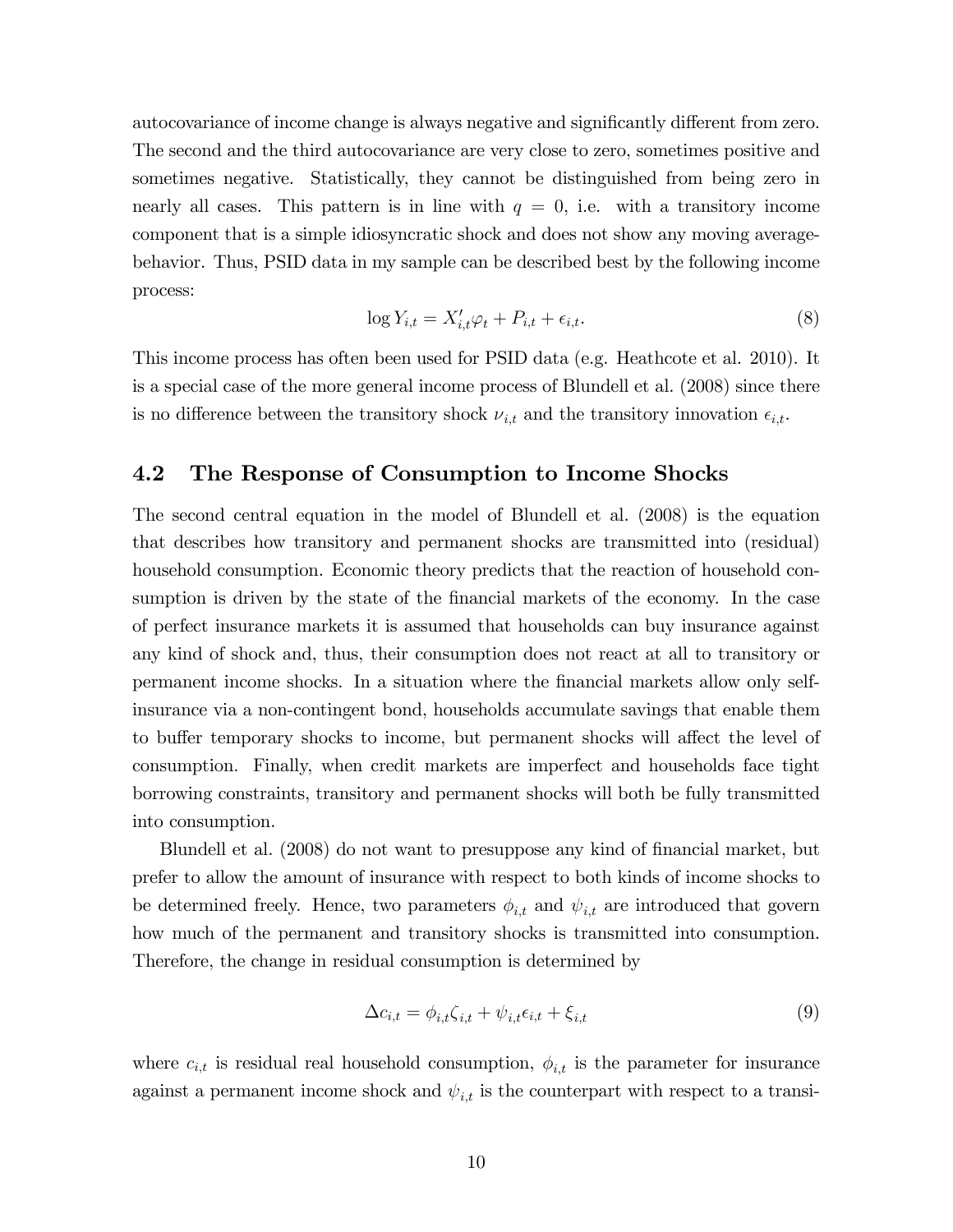autocovariance of income change is always negative and significantly different from zero. The second and the third autocovariance are very close to zero, sometimes positive and sometimes negative. Statistically, they cannot be distinguished from being zero in nearly all cases. This pattern is in line with  $q = 0$ , i.e. with a transitory income component that is a simple idiosyncratic shock and does not show any moving averagebehavior. Thus, PSID data in my sample can be described best by the following income process:

$$
\log Y_{i,t} = X'_{i,t} \varphi_t + P_{i,t} + \epsilon_{i,t}.\tag{8}
$$

This income process has often been used for PSID data (e.g. Heathcote et al. 2010). It is a special case of the more general income process of Blundell et al. (2008) since there is no difference between the transitory shock  $\nu_{i,t}$  and the transitory innovation  $\epsilon_{i,t}$ .

#### 4.2 The Response of Consumption to Income Shocks

The second central equation in the model of Blundell et al. (2008) is the equation that describes how transitory and permanent shocks are transmitted into (residual) household consumption. Economic theory predicts that the reaction of household consumption is driven by the state of the financial markets of the economy. In the case of perfect insurance markets it is assumed that households can buy insurance against any kind of shock and, thus, their consumption does not react at all to transitory or permanent income shocks. In a situation where the Önancial markets allow only selfinsurance via a non-contingent bond, households accumulate savings that enable them to buffer temporary shocks to income, but permanent shocks will affect the level of consumption. Finally, when credit markets are imperfect and households face tight borrowing constraints, transitory and permanent shocks will both be fully transmitted into consumption.

Blundell et al. (2008) do not want to presuppose any kind of financial market, but prefer to allow the amount of insurance with respect to both kinds of income shocks to be determined freely. Hence, two parameters  $\phi_{i,t}$  and  $\psi_{i,t}$  are introduced that govern how much of the permanent and transitory shocks is transmitted into consumption. Therefore, the change in residual consumption is determined by

$$
\Delta c_{i,t} = \phi_{i,t} \zeta_{i,t} + \psi_{i,t} \epsilon_{i,t} + \xi_{i,t} \tag{9}
$$

where  $c_{i,t}$  is residual real household consumption,  $\phi_{i,t}$  is the parameter for insurance against a permanent income shock and  $\psi_{i,t}$  is the counterpart with respect to a transi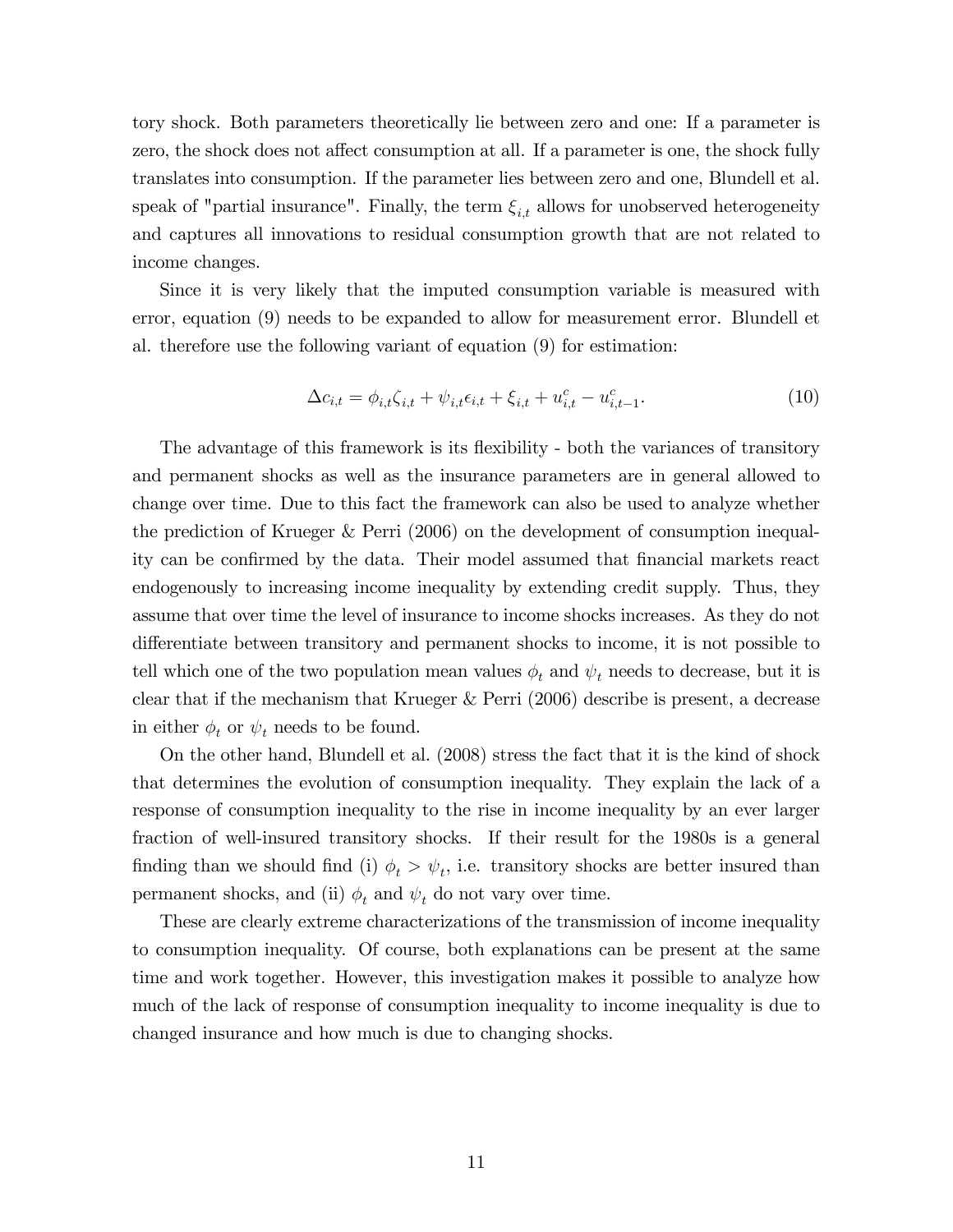tory shock. Both parameters theoretically lie between zero and one: If a parameter is zero, the shock does not affect consumption at all. If a parameter is one, the shock fully translates into consumption. If the parameter lies between zero and one, Blundell et al. speak of "partial insurance". Finally, the term  $\xi_{i,t}$  allows for unobserved heterogeneity and captures all innovations to residual consumption growth that are not related to income changes.

Since it is very likely that the imputed consumption variable is measured with error, equation (9) needs to be expanded to allow for measurement error. Blundell et al. therefore use the following variant of equation (9) for estimation:

$$
\Delta c_{i,t} = \phi_{i,t} \zeta_{i,t} + \psi_{i,t} \epsilon_{i,t} + \xi_{i,t} + u_{i,t}^c - u_{i,t-1}^c.
$$
\n(10)

The advantage of this framework is its flexibility - both the variances of transitory and permanent shocks as well as the insurance parameters are in general allowed to change over time. Due to this fact the framework can also be used to analyze whether the prediction of Krueger & Perri (2006) on the development of consumption inequality can be confirmed by the data. Their model assumed that financial markets react endogenously to increasing income inequality by extending credit supply. Thus, they assume that over time the level of insurance to income shocks increases. As they do not differentiate between transitory and permanent shocks to income, it is not possible to tell which one of the two population mean values  $\phi_t$  and  $\psi_t$  needs to decrease, but it is clear that if the mechanism that Krueger & Perri (2006) describe is present, a decrease in either  $\phi_t$  or  $\psi_t$  needs to be found.

On the other hand, Blundell et al. (2008) stress the fact that it is the kind of shock that determines the evolution of consumption inequality. They explain the lack of a response of consumption inequality to the rise in income inequality by an ever larger fraction of well-insured transitory shocks. If their result for the 1980s is a general finding than we should find (i)  $\phi_t > \psi_t$ , i.e. transitory shocks are better insured than permanent shocks, and (ii)  $\phi_t$  and  $\psi_t$  do not vary over time.

These are clearly extreme characterizations of the transmission of income inequality to consumption inequality. Of course, both explanations can be present at the same time and work together. However, this investigation makes it possible to analyze how much of the lack of response of consumption inequality to income inequality is due to changed insurance and how much is due to changing shocks.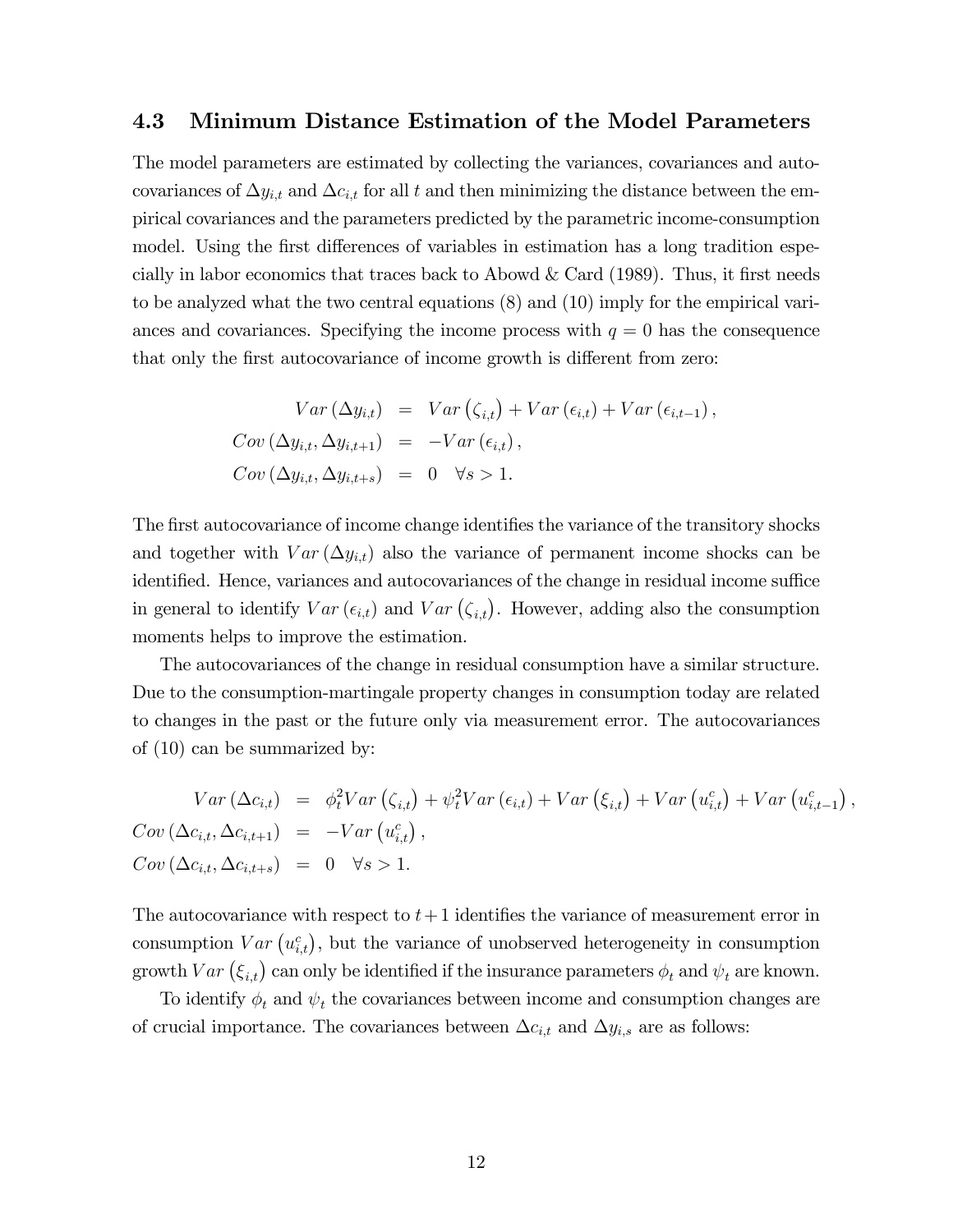#### 4.3 Minimum Distance Estimation of the Model Parameters

The model parameters are estimated by collecting the variances, covariances and autocovariances of  $\Delta y_{i,t}$  and  $\Delta c_{i,t}$  for all t and then minimizing the distance between the empirical covariances and the parameters predicted by the parametric income-consumption model. Using the first differences of variables in estimation has a long tradition especially in labor economics that traces back to Abowd  $& Card (1989)$ . Thus, it first needs to be analyzed what the two central equations (8) and (10) imply for the empirical variances and covariances. Specifying the income process with  $q = 0$  has the consequence that only the first autocovariance of income growth is different from zero:

$$
Var (\Delta y_{i,t}) = Var (\zeta_{i,t}) + Var (\epsilon_{i,t}) + Var (\epsilon_{i,t-1}),
$$
  
\n
$$
Cov (\Delta y_{i,t}, \Delta y_{i,t+1}) = -Var (\epsilon_{i,t}),
$$
  
\n
$$
Cov (\Delta y_{i,t}, \Delta y_{i,t+s}) = 0 \quad \forall s > 1.
$$

The first autocovariance of income change identifies the variance of the transitory shocks and together with  $Var(\Delta y_{i,t})$  also the variance of permanent income shocks can be identified. Hence, variances and autocovariances of the change in residual income suffice in general to identify  $Var(\epsilon_{i,t})$  and  $Var(\zeta_{i,t})$ . However, adding also the consumption moments helps to improve the estimation.

The autocovariances of the change in residual consumption have a similar structure. Due to the consumption-martingale property changes in consumption today are related to changes in the past or the future only via measurement error. The autocovariances of (10) can be summarized by:

$$
Var (\Delta c_{i,t}) = \phi_t^2 Var (\zeta_{i,t}) + \psi_t^2 Var (\epsilon_{i,t}) + Var (\xi_{i,t}) + Var (u_{i,t}^c) + Var (u_{i,t-1}^c),
$$
  
\n
$$
Cov (\Delta c_{i,t}, \Delta c_{i,t+1}) = -Var (u_{i,t}^c),
$$
  
\n
$$
Cov (\Delta c_{i,t}, \Delta c_{i,t+s}) = 0 \quad \forall s > 1.
$$

The autocovariance with respect to  $t+1$  identifies the variance of measurement error in consumption  $Var(u_{i,t}^c)$ , but the variance of unobserved heterogeneity in consumption growth  $Var(\xi_{i,t})$  can only be identified if the insurance parameters  $\phi_t$  and  $\psi_t$  are known.

To identify  $\phi_t$  and  $\psi_t$  the covariances between income and consumption changes are of crucial importance. The covariances between  $\Delta c_{i,t}$  and  $\Delta y_{i,s}$  are as follows: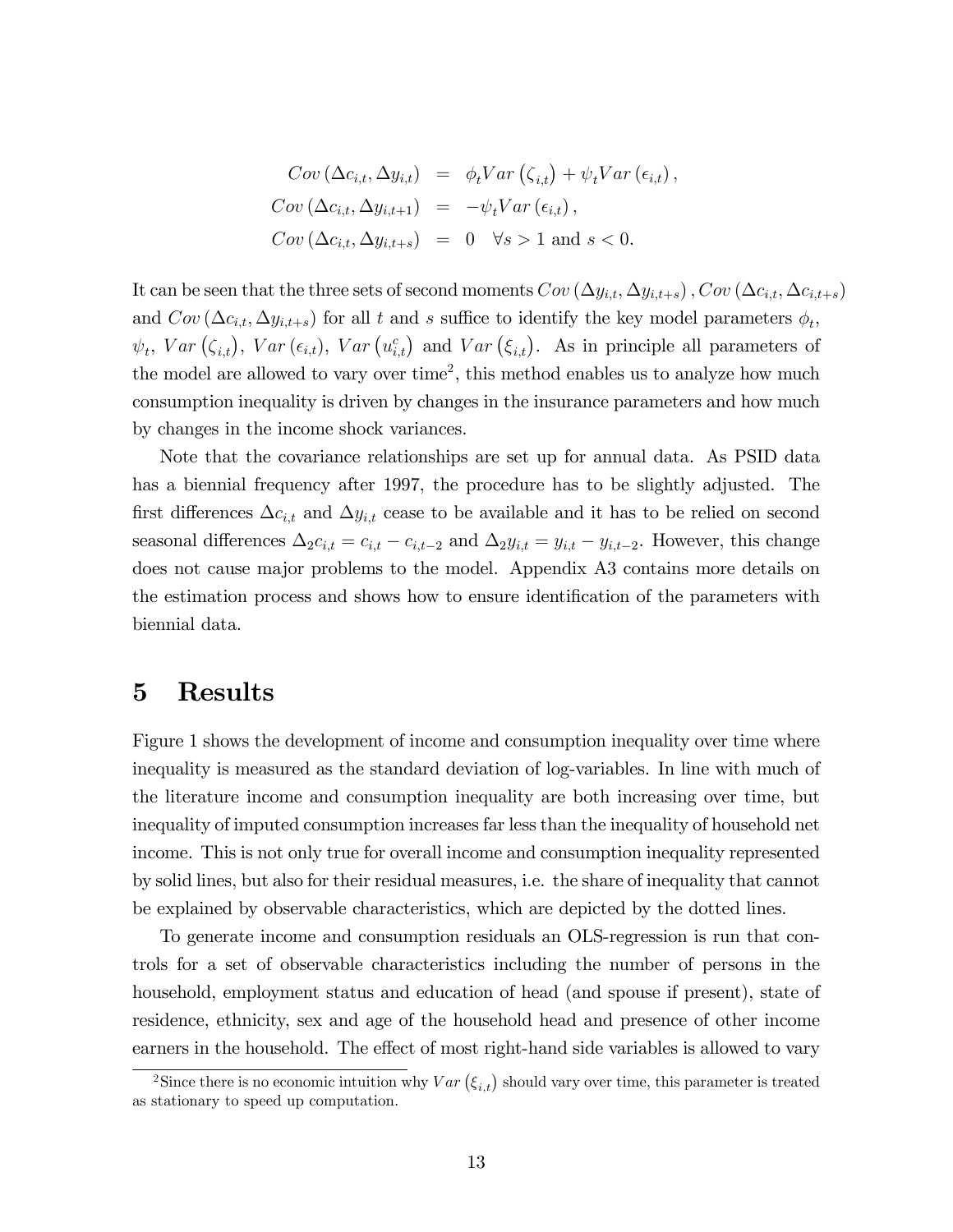$$
Cov (\Delta c_{i,t}, \Delta y_{i,t}) = \phi_t Var (\zeta_{i,t}) + \psi_t Var (\epsilon_{i,t}),
$$
  
\n
$$
Cov (\Delta c_{i,t}, \Delta y_{i,t+1}) = -\psi_t Var (\epsilon_{i,t}),
$$
  
\n
$$
Cov (\Delta c_{i,t}, \Delta y_{i,t+s}) = 0 \quad \forall s > 1 \text{ and } s < 0.
$$

It can be seen that the three sets of second moments  $Cov(\Delta y_{i,t}, \Delta y_{i,t+s})$ ,  $Cov(\Delta c_{i,t}, \Delta c_{i,t+s})$ and  $Cov(\Delta c_{i,t}, \Delta y_{i,t+s})$  for all t and s suffice to identify the key model parameters  $\phi_t$ ,  $\psi_t$ ,  $Var(\zeta_{i,t})$ ,  $Var(\epsilon_{i,t})$ ,  $Var(u_{i,t}^c)$  and  $Var(\xi_{i,t})$ . As in principle all parameters of the model are allowed to vary over time<sup>2</sup>, this method enables us to analyze how much consumption inequality is driven by changes in the insurance parameters and how much by changes in the income shock variances.

Note that the covariance relationships are set up for annual data. As PSID data has a biennial frequency after 1997, the procedure has to be slightly adjusted. The first differences  $\Delta c_{i,t}$  and  $\Delta y_{i,t}$  cease to be available and it has to be relied on second seasonal differences  $\Delta_2 c_{i,t} = c_{i,t} - c_{i,t-2}$  and  $\Delta_2 y_{i,t} = y_{i,t} - y_{i,t-2}$ . However, this change does not cause major problems to the model. Appendix A3 contains more details on the estimation process and shows how to ensure identification of the parameters with biennial data.

# 5 Results

Figure 1 shows the development of income and consumption inequality over time where inequality is measured as the standard deviation of log-variables. In line with much of the literature income and consumption inequality are both increasing over time, but inequality of imputed consumption increases far less than the inequality of household net income. This is not only true for overall income and consumption inequality represented by solid lines, but also for their residual measures, i.e. the share of inequality that cannot be explained by observable characteristics, which are depicted by the dotted lines.

To generate income and consumption residuals an OLS-regression is run that controls for a set of observable characteristics including the number of persons in the household, employment status and education of head (and spouse if present), state of residence, ethnicity, sex and age of the household head and presence of other income earners in the household. The effect of most right-hand side variables is allowed to vary

<sup>&</sup>lt;sup>2</sup>Since there is no economic intuition why  $Var(\xi_{i,t})$  should vary over time, this parameter is treated as stationary to speed up computation.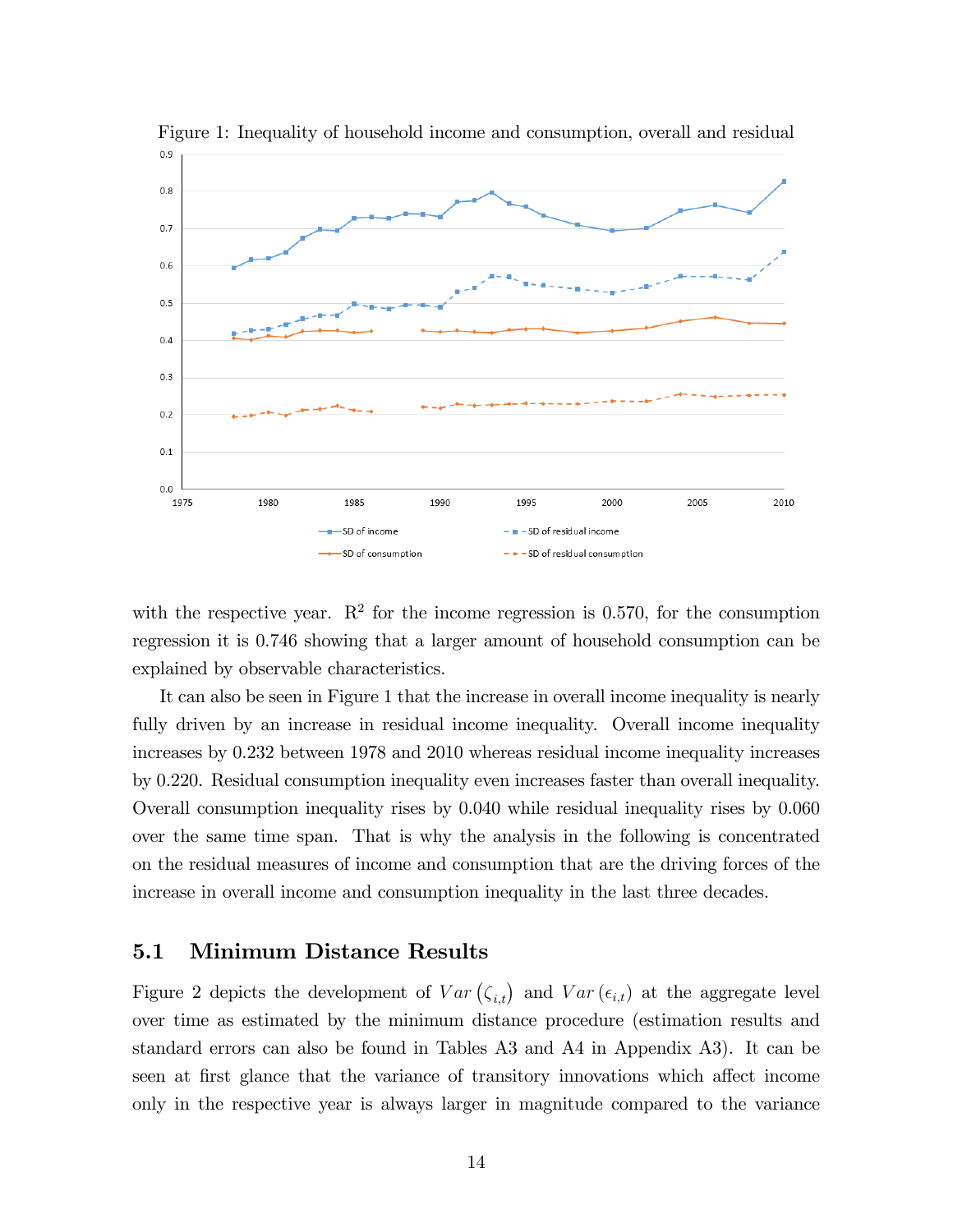

Figure 1: Inequality of household income and consumption, overall and residual

with the respective year.  $\mathbb{R}^2$  for the income regression is 0.570, for the consumption regression it is 0.746 showing that a larger amount of household consumption can be explained by observable characteristics.

It can also be seen in Figure 1 that the increase in overall income inequality is nearly fully driven by an increase in residual income inequality. Overall income inequality increases by 0.232 between 1978 and 2010 whereas residual income inequality increases by 0.220. Residual consumption inequality even increases faster than overall inequality. Overall consumption inequality rises by 0.040 while residual inequality rises by 0.060 over the same time span. That is why the analysis in the following is concentrated on the residual measures of income and consumption that are the driving forces of the increase in overall income and consumption inequality in the last three decades.

#### 5.1 Minimum Distance Results

Figure 2 depicts the development of  $Var(\zeta_{i,t})$  and  $Var(\epsilon_{i,t})$  at the aggregate level over time as estimated by the minimum distance procedure (estimation results and standard errors can also be found in Tables A3 and A4 in Appendix A3). It can be seen at first glance that the variance of transitory innovations which affect income only in the respective year is always larger in magnitude compared to the variance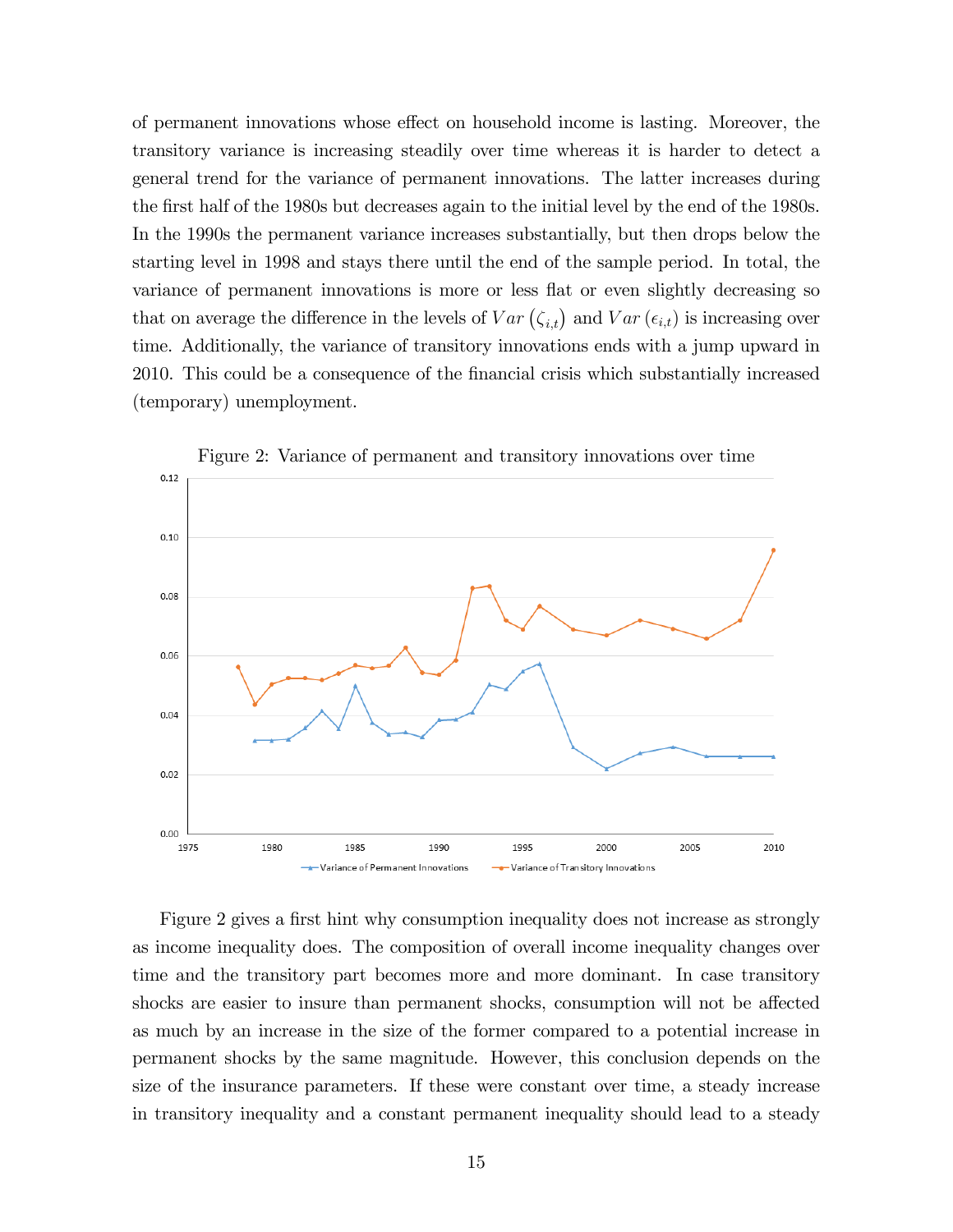of permanent innovations whose effect on household income is lasting. Moreover, the transitory variance is increasing steadily over time whereas it is harder to detect a general trend for the variance of permanent innovations. The latter increases during the first half of the 1980s but decreases again to the initial level by the end of the 1980s. In the 1990s the permanent variance increases substantially, but then drops below the starting level in 1998 and stays there until the end of the sample period. In total, the variance of permanent innovations is more or less flat or even slightly decreasing so that on average the difference in the levels of  $Var(\zeta_{i,t})$  and  $Var(\epsilon_{i,t})$  is increasing over time. Additionally, the variance of transitory innovations ends with a jump upward in 2010. This could be a consequence of the Önancial crisis which substantially increased (temporary) unemployment.



Figure 2: Variance of permanent and transitory innovations over time

Figure 2 gives a first hint why consumption inequality does not increase as strongly as income inequality does. The composition of overall income inequality changes over time and the transitory part becomes more and more dominant. In case transitory shocks are easier to insure than permanent shocks, consumption will not be affected as much by an increase in the size of the former compared to a potential increase in permanent shocks by the same magnitude. However, this conclusion depends on the size of the insurance parameters. If these were constant over time, a steady increase in transitory inequality and a constant permanent inequality should lead to a steady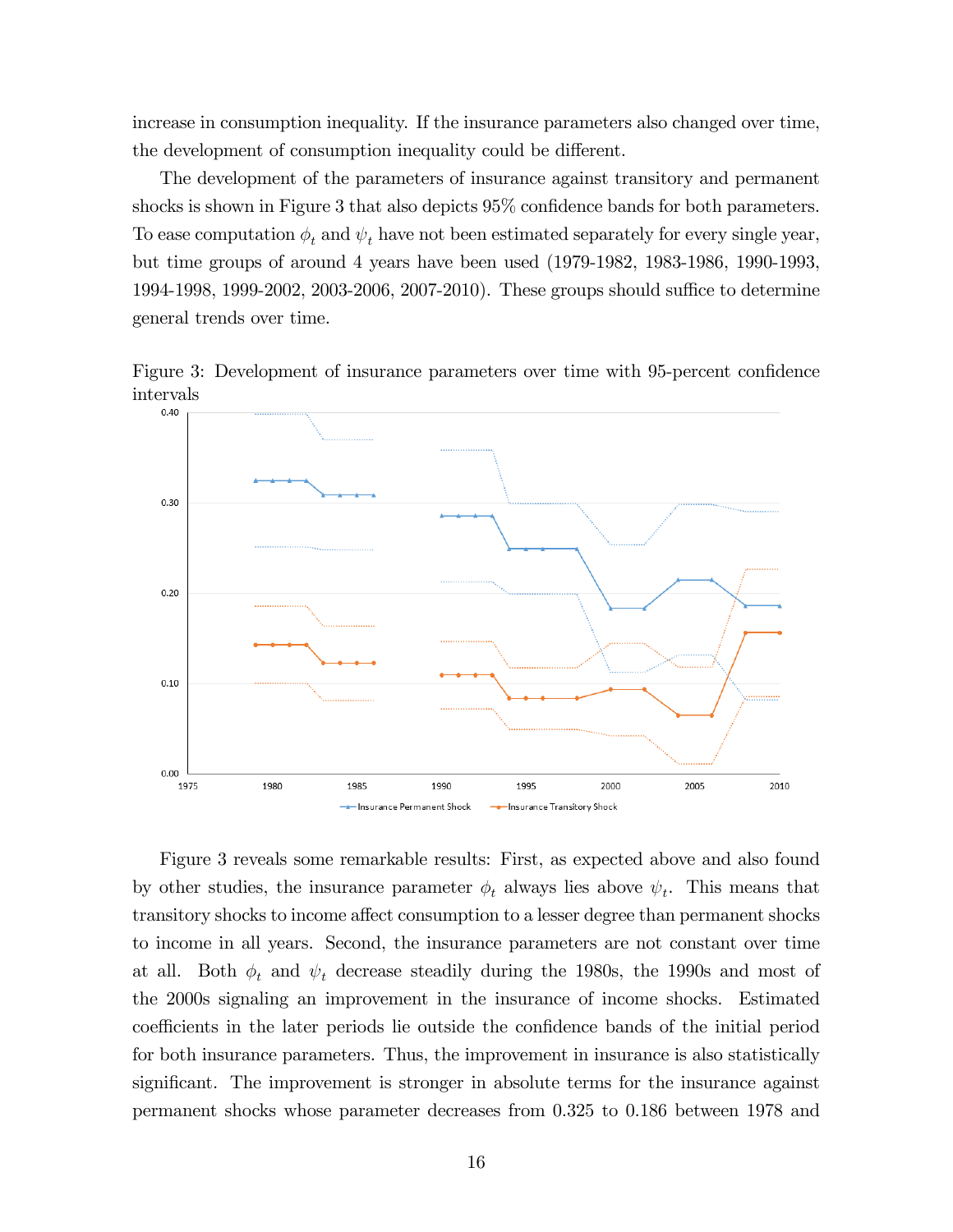increase in consumption inequality. If the insurance parameters also changed over time, the development of consumption inequality could be different.

The development of the parameters of insurance against transitory and permanent shocks is shown in Figure 3 that also depicts  $95\%$  confidence bands for both parameters. To ease computation  $\phi_t$  and  $\psi_t$  have not been estimated separately for every single year, but time groups of around 4 years have been used (1979-1982, 1983-1986, 1990-1993, 1994-1998, 1999-2002, 2003-2006, 2007-2010). These groups should suffice to determine general trends over time.

Figure 3: Development of insurance parameters over time with 95-percent confidence intervals



Figure 3 reveals some remarkable results: First, as expected above and also found by other studies, the insurance parameter  $\phi_t$  always lies above  $\psi_t$ . This means that transitory shocks to income affect consumption to a lesser degree than permanent shocks to income in all years. Second, the insurance parameters are not constant over time at all. Both  $\phi_t$  and  $\psi_t$  decrease steadily during the 1980s, the 1990s and most of the 2000s signaling an improvement in the insurance of income shocks. Estimated coefficients in the later periods lie outside the confidence bands of the initial period for both insurance parameters. Thus, the improvement in insurance is also statistically significant. The improvement is stronger in absolute terms for the insurance against permanent shocks whose parameter decreases from 0.325 to 0.186 between 1978 and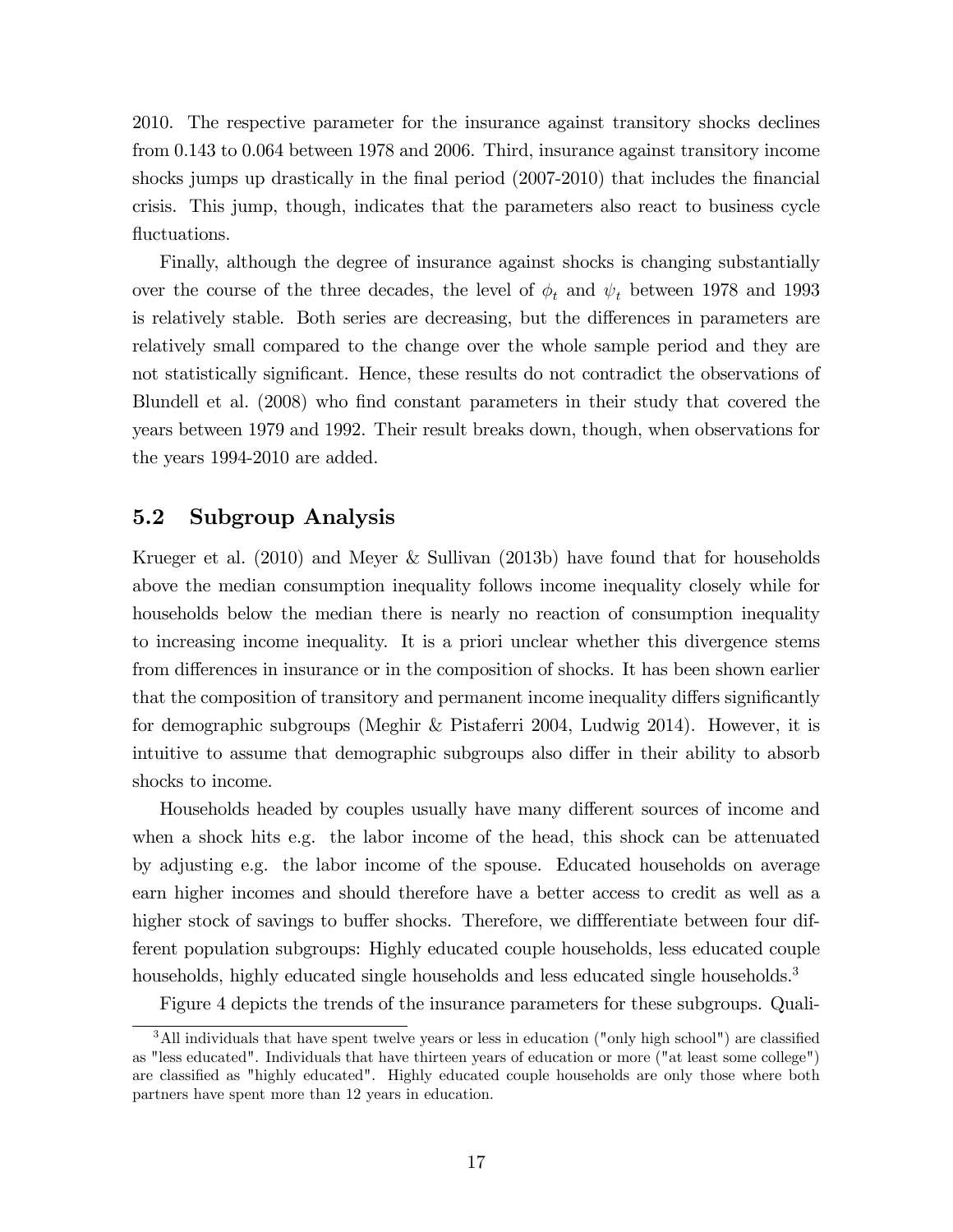2010. The respective parameter for the insurance against transitory shocks declines from 0.143 to 0.064 between 1978 and 2006. Third, insurance against transitory income shocks jumps up drastically in the final period  $(2007-2010)$  that includes the financial crisis. This jump, though, indicates that the parameters also react to business cycle fluctuations.

Finally, although the degree of insurance against shocks is changing substantially over the course of the three decades, the level of  $\phi_t$  and  $\psi_t$  between 1978 and 1993 is relatively stable. Both series are decreasing, but the differences in parameters are relatively small compared to the change over the whole sample period and they are not statistically significant. Hence, these results do not contradict the observations of Blundell et al. (2008) who find constant parameters in their study that covered the years between 1979 and 1992. Their result breaks down, though, when observations for the years 1994-2010 are added.

#### 5.2 Subgroup Analysis

Krueger et al. (2010) and Meyer & Sullivan (2013b) have found that for households above the median consumption inequality follows income inequality closely while for households below the median there is nearly no reaction of consumption inequality to increasing income inequality. It is a priori unclear whether this divergence stems from differences in insurance or in the composition of shocks. It has been shown earlier that the composition of transitory and permanent income inequality differs significantly for demographic subgroups (Meghir & Pistaferri 2004, Ludwig 2014). However, it is intuitive to assume that demographic subgroups also differ in their ability to absorb shocks to income.

Households headed by couples usually have many different sources of income and when a shock hits e.g. the labor income of the head, this shock can be attenuated by adjusting e.g. the labor income of the spouse. Educated households on average earn higher incomes and should therefore have a better access to credit as well as a higher stock of savings to buffer shocks. Therefore, we differentiate between four different population subgroups: Highly educated couple households, less educated couple households, highly educated single households and less educated single households.<sup>3</sup>

Figure 4 depicts the trends of the insurance parameters for these subgroups. Quali-

 $3$ All individuals that have spent twelve years or less in education ("only high school") are classified as "less educated". Individuals that have thirteen years of education or more ("at least some college") are classified as "highly educated". Highly educated couple households are only those where both partners have spent more than 12 years in education.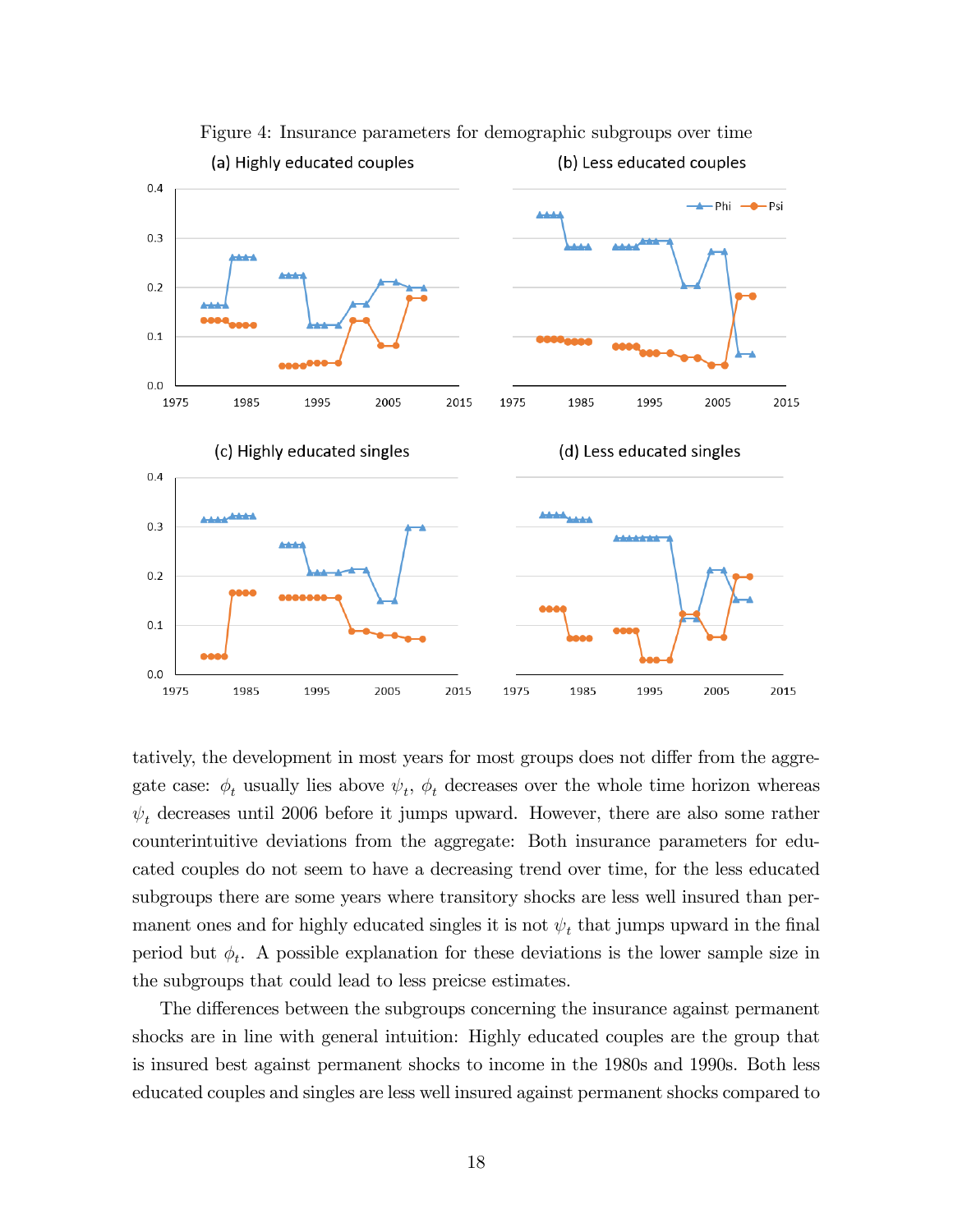

Figure 4: Insurance parameters for demographic subgroups over time

tatively, the development in most years for most groups does not differ from the aggregate case:  $\phi_t$  usually lies above  $\psi_t$ ,  $\phi_t$  decreases over the whole time horizon whereas  $\psi_t$  decreases until 2006 before it jumps upward. However, there are also some rather counterintuitive deviations from the aggregate: Both insurance parameters for educated couples do not seem to have a decreasing trend over time, for the less educated subgroups there are some years where transitory shocks are less well insured than permanent ones and for highly educated singles it is not  $\psi_t$  that jumps upward in the final period but  $\phi_t$ . A possible explanation for these deviations is the lower sample size in the subgroups that could lead to less preicse estimates.

The differences between the subgroups concerning the insurance against permanent shocks are in line with general intuition: Highly educated couples are the group that is insured best against permanent shocks to income in the 1980s and 1990s. Both less educated couples and singles are less well insured against permanent shocks compared to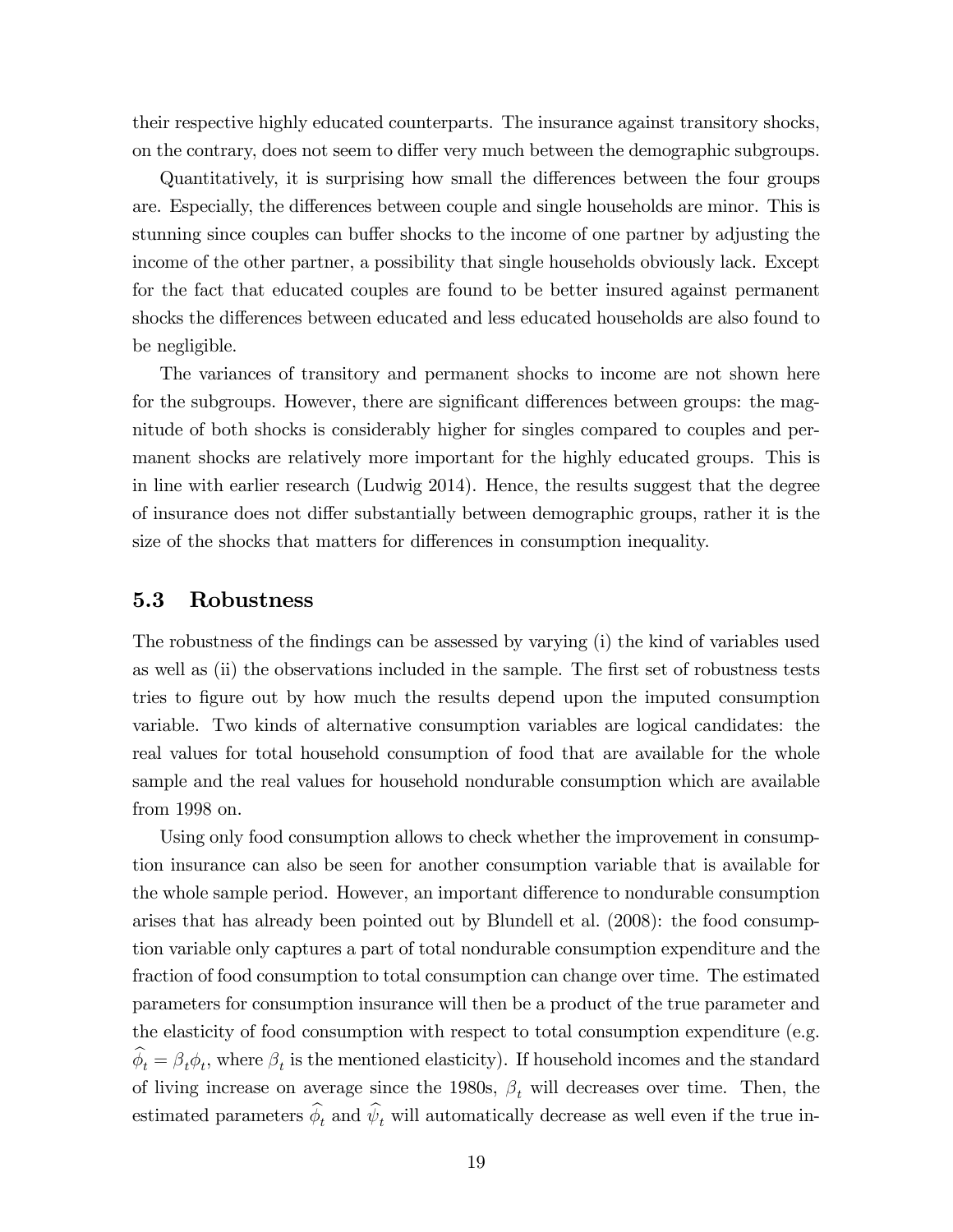their respective highly educated counterparts. The insurance against transitory shocks, on the contrary, does not seem to differ very much between the demographic subgroups.

Quantitatively, it is surprising how small the differences between the four groups are. Especially, the differences between couple and single households are minor. This is stunning since couples can buffer shocks to the income of one partner by adjusting the income of the other partner, a possibility that single households obviously lack. Except for the fact that educated couples are found to be better insured against permanent shocks the differences between educated and less educated households are also found to be negligible.

The variances of transitory and permanent shocks to income are not shown here for the subgroups. However, there are significant differences between groups: the magnitude of both shocks is considerably higher for singles compared to couples and permanent shocks are relatively more important for the highly educated groups. This is in line with earlier research (Ludwig 2014). Hence, the results suggest that the degree of insurance does not differ substantially between demographic groups, rather it is the size of the shocks that matters for differences in consumption inequality.

#### 5.3 Robustness

The robustness of the findings can be assessed by varying (i) the kind of variables used as well as (ii) the observations included in the sample. The first set of robustness tests tries to figure out by how much the results depend upon the imputed consumption variable. Two kinds of alternative consumption variables are logical candidates: the real values for total household consumption of food that are available for the whole sample and the real values for household nondurable consumption which are available from 1998 on.

Using only food consumption allows to check whether the improvement in consumption insurance can also be seen for another consumption variable that is available for the whole sample period. However, an important difference to nondurable consumption arises that has already been pointed out by Blundell et al. (2008): the food consumption variable only captures a part of total nondurable consumption expenditure and the fraction of food consumption to total consumption can change over time. The estimated parameters for consumption insurance will then be a product of the true parameter and the elasticity of food consumption with respect to total consumption expenditure (e.g.  $\phi_t = \beta_t \phi_t$ , where  $\beta_t$  is the mentioned elasticity). If household incomes and the standard of living increase on average since the 1980s,  $\beta_t$  will decreases over time. Then, the estimated parameters  $\phi_t$  and  $\psi_t$  will automatically decrease as well even if the true in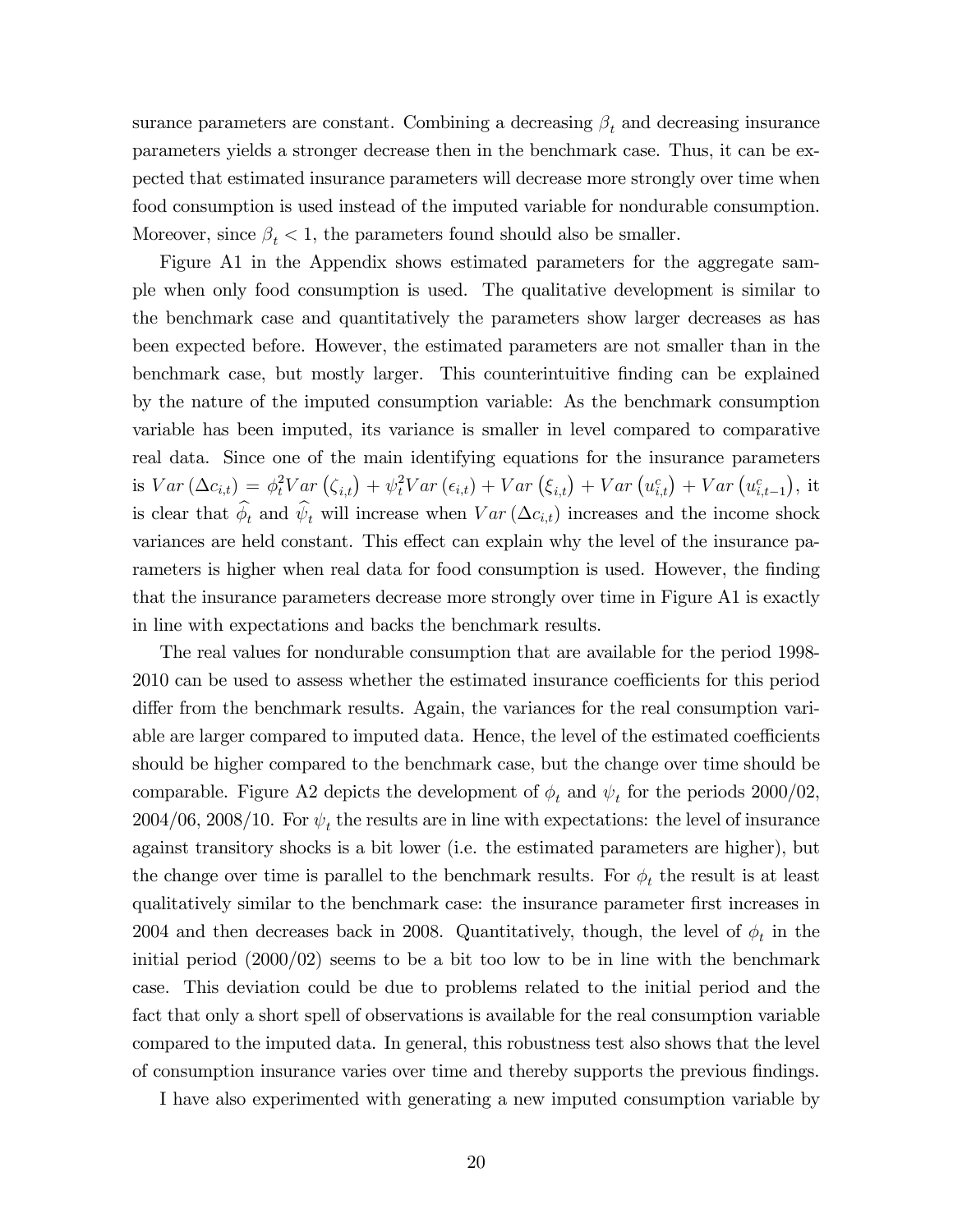surance parameters are constant. Combining a decreasing  $\beta_t$  and decreasing insurance parameters yields a stronger decrease then in the benchmark case. Thus, it can be expected that estimated insurance parameters will decrease more strongly over time when food consumption is used instead of the imputed variable for nondurable consumption. Moreover, since  $\beta_t < 1$ , the parameters found should also be smaller.

Figure A1 in the Appendix shows estimated parameters for the aggregate sample when only food consumption is used. The qualitative development is similar to the benchmark case and quantitatively the parameters show larger decreases as has been expected before. However, the estimated parameters are not smaller than in the benchmark case, but mostly larger. This counterintuitive Önding can be explained by the nature of the imputed consumption variable: As the benchmark consumption variable has been imputed, its variance is smaller in level compared to comparative real data. Since one of the main identifying equations for the insurance parameters is  $Var\left(\Delta c_{i,t}\right) = \phi_t^2 Var\left(\zeta_{i,t}\right) + \psi_t^2 Var\left(\epsilon_{i,t}\right) + Var\left(\xi_{i,t}\right) + Var\left(u_{i,t}^c\right) + Var\left(u_{i,t-1}^c\right),$  it is clear that  $\phi_t$  and  $\psi_t$  will increase when  $Var(\Delta c_{i,t})$  increases and the income shock variances are held constant. This effect can explain why the level of the insurance parameters is higher when real data for food consumption is used. However, the finding that the insurance parameters decrease more strongly over time in Figure A1 is exactly in line with expectations and backs the benchmark results.

The real values for nondurable consumption that are available for the period 1998- 2010 can be used to assess whether the estimated insurance coefficients for this period differ from the benchmark results. Again, the variances for the real consumption variable are larger compared to imputed data. Hence, the level of the estimated coefficients should be higher compared to the benchmark case, but the change over time should be comparable. Figure A2 depicts the development of  $\phi_t$  and  $\psi_t$  for the periods 2000/02,  $2004/06$ ,  $2008/10$ . For  $\psi_t$  the results are in line with expectations: the level of insurance against transitory shocks is a bit lower (i.e. the estimated parameters are higher), but the change over time is parallel to the benchmark results. For  $\phi_t$  the result is at least qualitatively similar to the benchmark case: the insurance parameter Örst increases in 2004 and then decreases back in 2008. Quantitatively, though, the level of  $\phi_t$  in the initial period  $(2000/02)$  seems to be a bit too low to be in line with the benchmark case. This deviation could be due to problems related to the initial period and the fact that only a short spell of observations is available for the real consumption variable compared to the imputed data. In general, this robustness test also shows that the level of consumption insurance varies over time and thereby supports the previous Öndings.

I have also experimented with generating a new imputed consumption variable by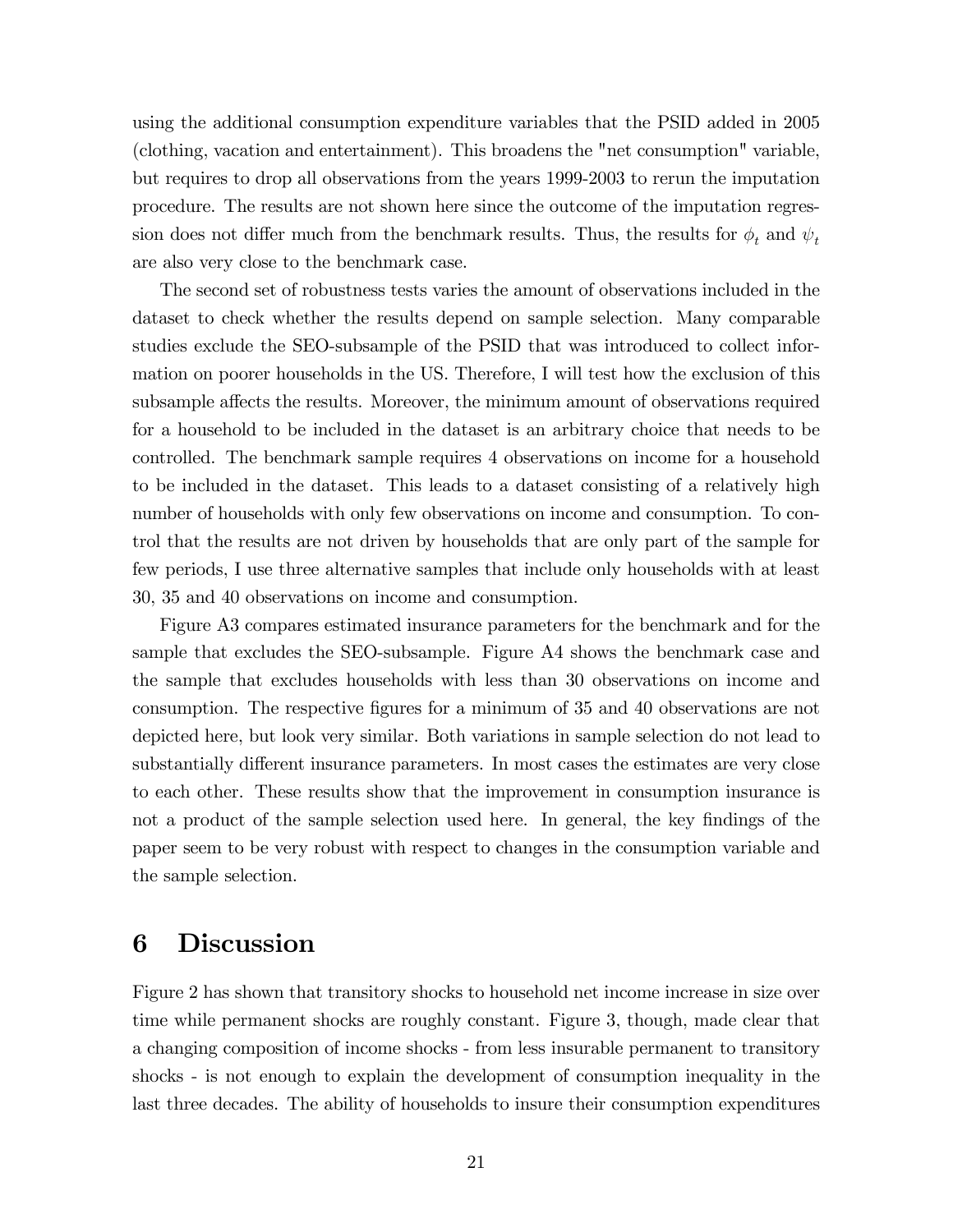using the additional consumption expenditure variables that the PSID added in 2005 (clothing, vacation and entertainment). This broadens the "net consumption" variable, but requires to drop all observations from the years 1999-2003 to rerun the imputation procedure. The results are not shown here since the outcome of the imputation regression does not differ much from the benchmark results. Thus, the results for  $\phi_t$  and  $\psi_t$ are also very close to the benchmark case.

The second set of robustness tests varies the amount of observations included in the dataset to check whether the results depend on sample selection. Many comparable studies exclude the SEO-subsample of the PSID that was introduced to collect information on poorer households in the US. Therefore, I will test how the exclusion of this subsample affects the results. Moreover, the minimum amount of observations required for a household to be included in the dataset is an arbitrary choice that needs to be controlled. The benchmark sample requires 4 observations on income for a household to be included in the dataset. This leads to a dataset consisting of a relatively high number of households with only few observations on income and consumption. To control that the results are not driven by households that are only part of the sample for few periods, I use three alternative samples that include only households with at least 30, 35 and 40 observations on income and consumption.

Figure A3 compares estimated insurance parameters for the benchmark and for the sample that excludes the SEO-subsample. Figure A4 shows the benchmark case and the sample that excludes households with less than 30 observations on income and consumption. The respective figures for a minimum of 35 and 40 observations are not depicted here, but look very similar. Both variations in sample selection do not lead to substantially different insurance parameters. In most cases the estimates are very close to each other. These results show that the improvement in consumption insurance is not a product of the sample selection used here. In general, the key findings of the paper seem to be very robust with respect to changes in the consumption variable and the sample selection.

# 6 Discussion

Figure 2 has shown that transitory shocks to household net income increase in size over time while permanent shocks are roughly constant. Figure 3, though, made clear that a changing composition of income shocks - from less insurable permanent to transitory shocks - is not enough to explain the development of consumption inequality in the last three decades. The ability of households to insure their consumption expenditures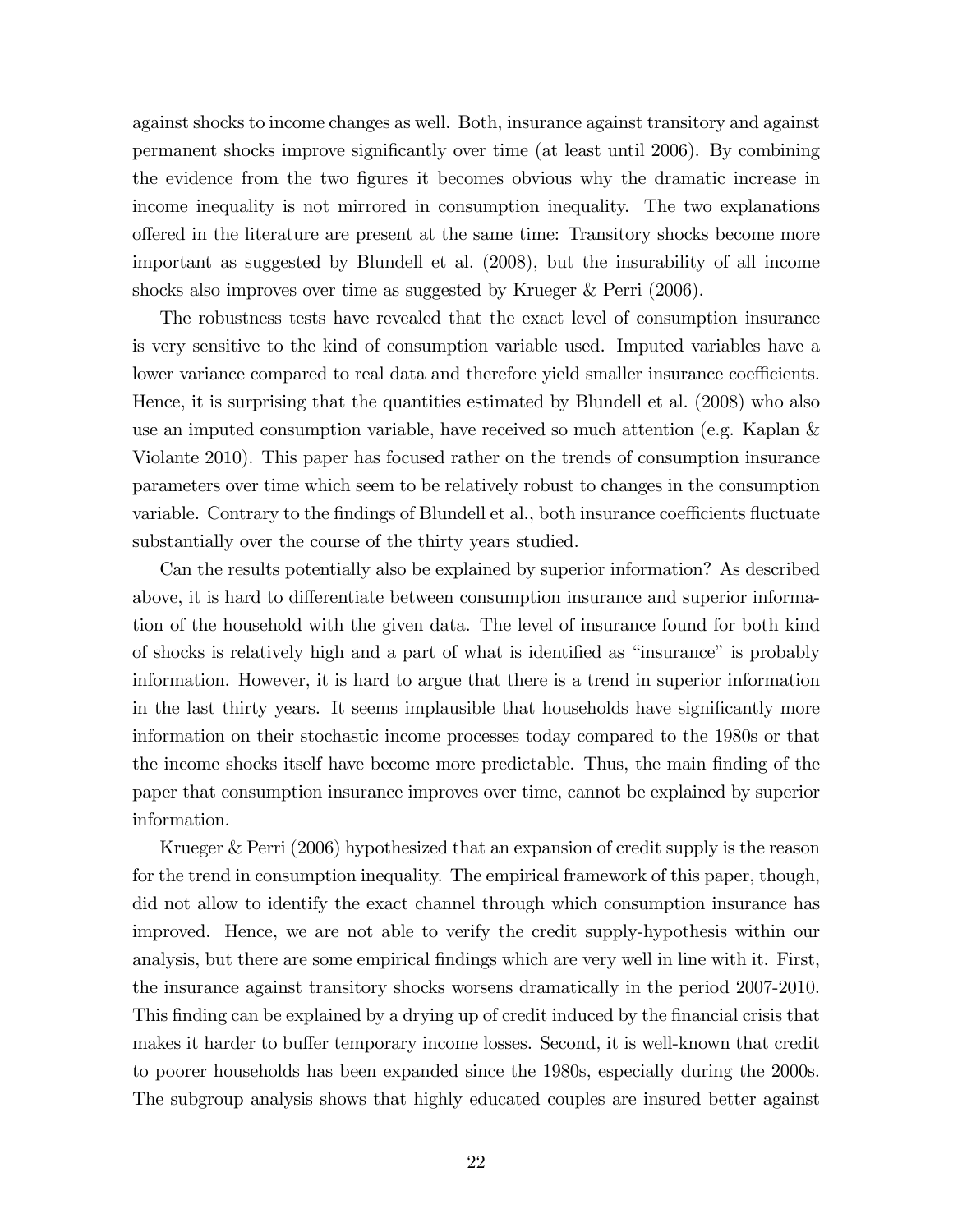against shocks to income changes as well. Both, insurance against transitory and against permanent shocks improve signiÖcantly over time (at least until 2006). By combining the evidence from the two figures it becomes obvious why the dramatic increase in income inequality is not mirrored in consumption inequality. The two explanations o§ered in the literature are present at the same time: Transitory shocks become more important as suggested by Blundell et al. (2008), but the insurability of all income shocks also improves over time as suggested by Krueger & Perri (2006).

The robustness tests have revealed that the exact level of consumption insurance is very sensitive to the kind of consumption variable used. Imputed variables have a lower variance compared to real data and therefore yield smaller insurance coefficients. Hence, it is surprising that the quantities estimated by Blundell et al. (2008) who also use an imputed consumption variable, have received so much attention (e.g. Kaplan & Violante 2010). This paper has focused rather on the trends of consumption insurance parameters over time which seem to be relatively robust to changes in the consumption variable. Contrary to the findings of Blundell et al., both insurance coefficients fluctuate substantially over the course of the thirty years studied.

Can the results potentially also be explained by superior information? As described above, it is hard to differentiate between consumption insurance and superior information of the household with the given data. The level of insurance found for both kind of shocks is relatively high and a part of what is identified as "insurance" is probably information. However, it is hard to argue that there is a trend in superior information in the last thirty years. It seems implausible that households have significantly more information on their stochastic income processes today compared to the 1980s or that the income shocks itself have become more predictable. Thus, the main finding of the paper that consumption insurance improves over time, cannot be explained by superior information.

Krueger & Perri (2006) hypothesized that an expansion of credit supply is the reason for the trend in consumption inequality. The empirical framework of this paper, though, did not allow to identify the exact channel through which consumption insurance has improved. Hence, we are not able to verify the credit supply-hypothesis within our analysis, but there are some empirical findings which are very well in line with it. First, the insurance against transitory shocks worsens dramatically in the period 2007-2010. This finding can be explained by a drying up of credit induced by the financial crisis that makes it harder to buffer temporary income losses. Second, it is well-known that credit to poorer households has been expanded since the 1980s, especially during the 2000s. The subgroup analysis shows that highly educated couples are insured better against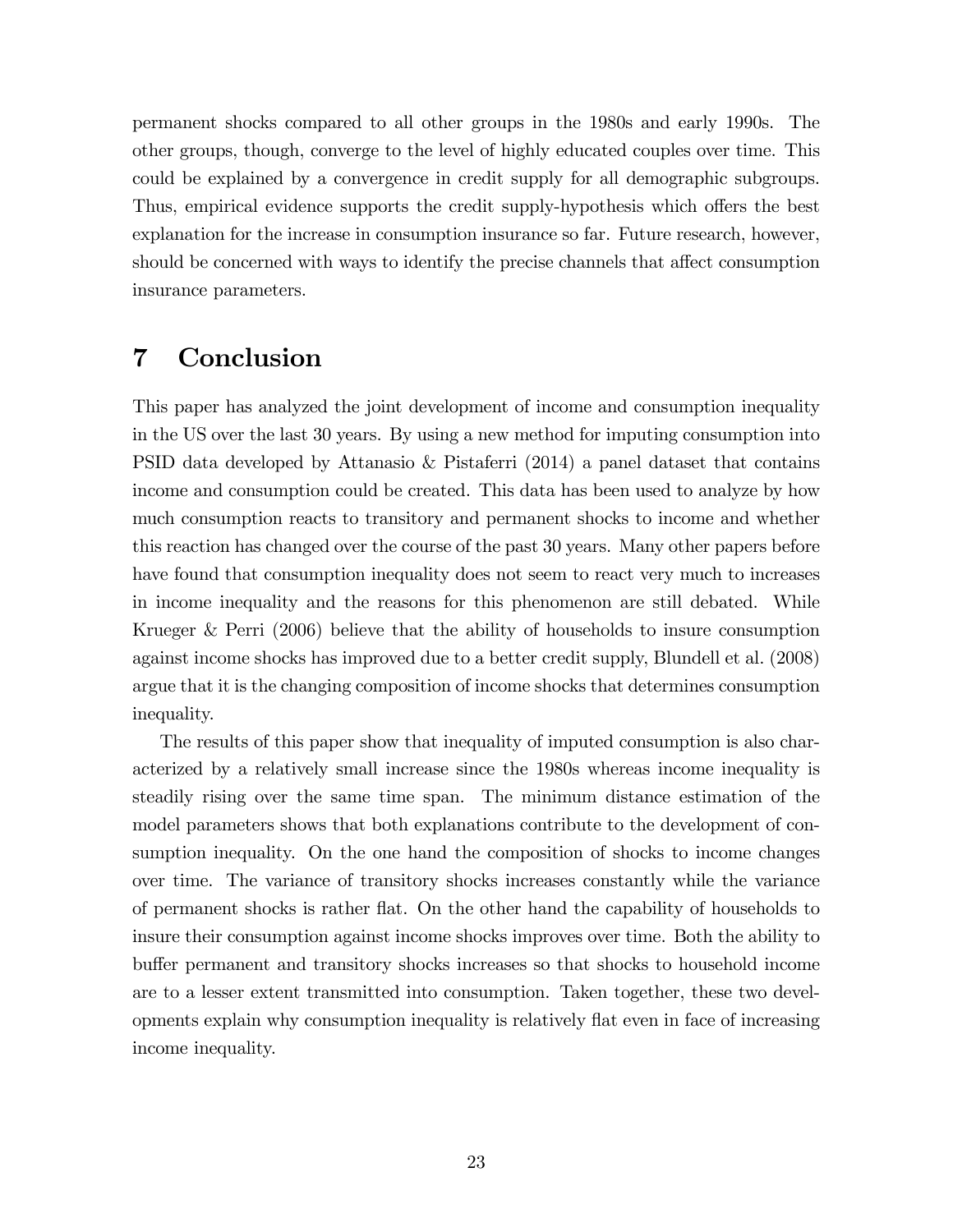permanent shocks compared to all other groups in the 1980s and early 1990s. The other groups, though, converge to the level of highly educated couples over time. This could be explained by a convergence in credit supply for all demographic subgroups. Thus, empirical evidence supports the credit supply-hypothesis which offers the best explanation for the increase in consumption insurance so far. Future research, however, should be concerned with ways to identify the precise channels that affect consumption insurance parameters.

# 7 Conclusion

This paper has analyzed the joint development of income and consumption inequality in the US over the last 30 years. By using a new method for imputing consumption into PSID data developed by Attanasio & Pistaferri (2014) a panel dataset that contains income and consumption could be created. This data has been used to analyze by how much consumption reacts to transitory and permanent shocks to income and whether this reaction has changed over the course of the past 30 years. Many other papers before have found that consumption inequality does not seem to react very much to increases in income inequality and the reasons for this phenomenon are still debated. While Krueger & Perri (2006) believe that the ability of households to insure consumption against income shocks has improved due to a better credit supply, Blundell et al. (2008) argue that it is the changing composition of income shocks that determines consumption inequality.

The results of this paper show that inequality of imputed consumption is also characterized by a relatively small increase since the 1980s whereas income inequality is steadily rising over the same time span. The minimum distance estimation of the model parameters shows that both explanations contribute to the development of consumption inequality. On the one hand the composition of shocks to income changes over time. The variance of transitory shocks increases constantly while the variance of permanent shocks is rather áat. On the other hand the capability of households to insure their consumption against income shocks improves over time. Both the ability to buffer permanent and transitory shocks increases so that shocks to household income are to a lesser extent transmitted into consumption. Taken together, these two developments explain why consumption inequality is relatively áat even in face of increasing income inequality.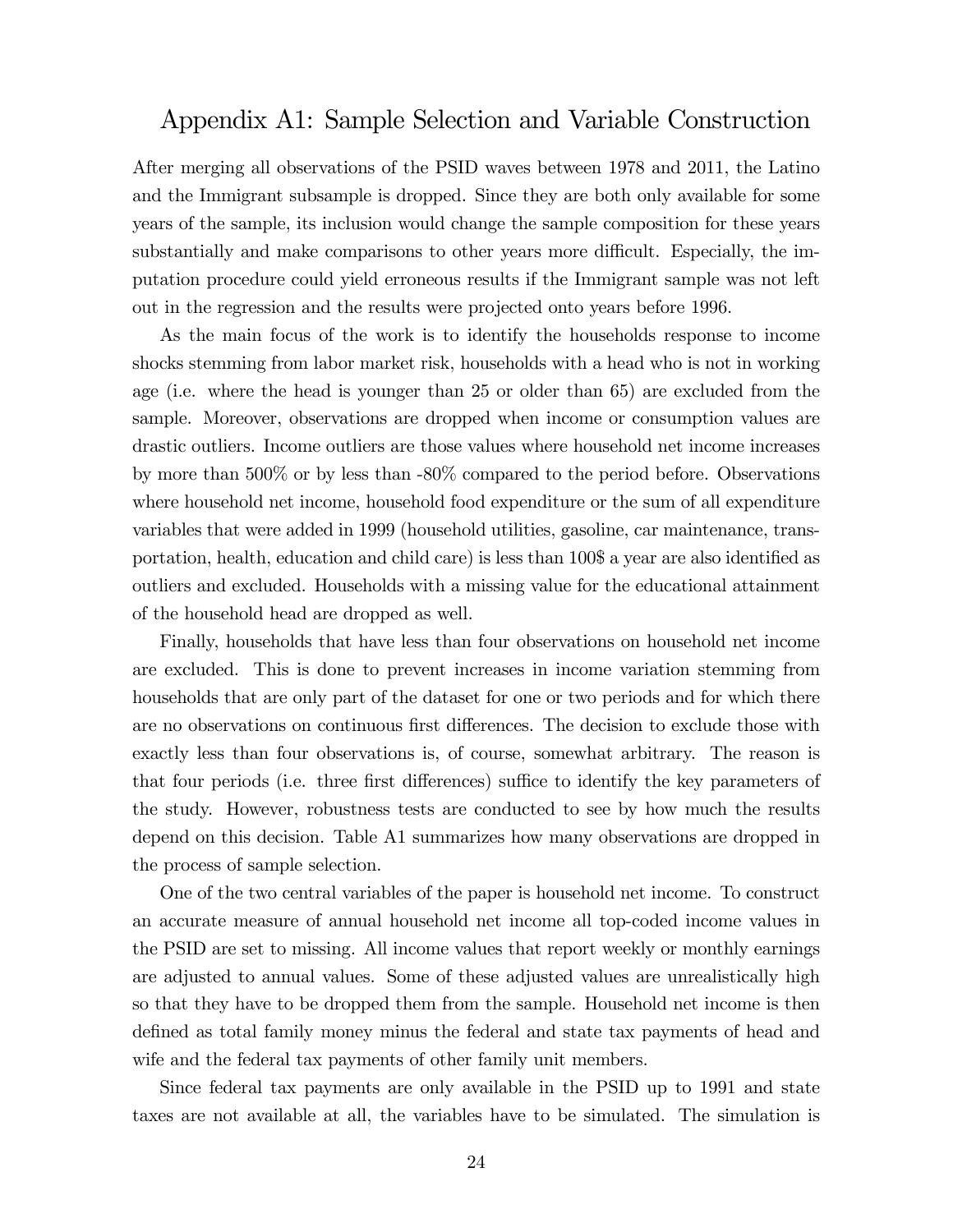# Appendix A1: Sample Selection and Variable Construction

After merging all observations of the PSID waves between 1978 and 2011, the Latino and the Immigrant subsample is dropped. Since they are both only available for some years of the sample, its inclusion would change the sample composition for these years substantially and make comparisons to other years more difficult. Especially, the imputation procedure could yield erroneous results if the Immigrant sample was not left out in the regression and the results were projected onto years before 1996.

As the main focus of the work is to identify the households response to income shocks stemming from labor market risk, households with a head who is not in working age (i.e. where the head is younger than 25 or older than 65) are excluded from the sample. Moreover, observations are dropped when income or consumption values are drastic outliers. Income outliers are those values where household net income increases by more than 500% or by less than -80% compared to the period before. Observations where household net income, household food expenditure or the sum of all expenditure variables that were added in 1999 (household utilities, gasoline, car maintenance, transportation, health, education and child care) is less than 100\$ a year are also identified as outliers and excluded. Households with a missing value for the educational attainment of the household head are dropped as well.

Finally, households that have less than four observations on household net income are excluded. This is done to prevent increases in income variation stemming from households that are only part of the dataset for one or two periods and for which there are no observations on continuous first differences. The decision to exclude those with exactly less than four observations is, of course, somewhat arbitrary. The reason is that four periods (i.e. three first differences) suffice to identify the key parameters of the study. However, robustness tests are conducted to see by how much the results depend on this decision. Table A1 summarizes how many observations are dropped in the process of sample selection.

One of the two central variables of the paper is household net income. To construct an accurate measure of annual household net income all top-coded income values in the PSID are set to missing. All income values that report weekly or monthly earnings are adjusted to annual values. Some of these adjusted values are unrealistically high so that they have to be dropped them from the sample. Household net income is then defined as total family money minus the federal and state tax payments of head and wife and the federal tax payments of other family unit members.

Since federal tax payments are only available in the PSID up to 1991 and state taxes are not available at all, the variables have to be simulated. The simulation is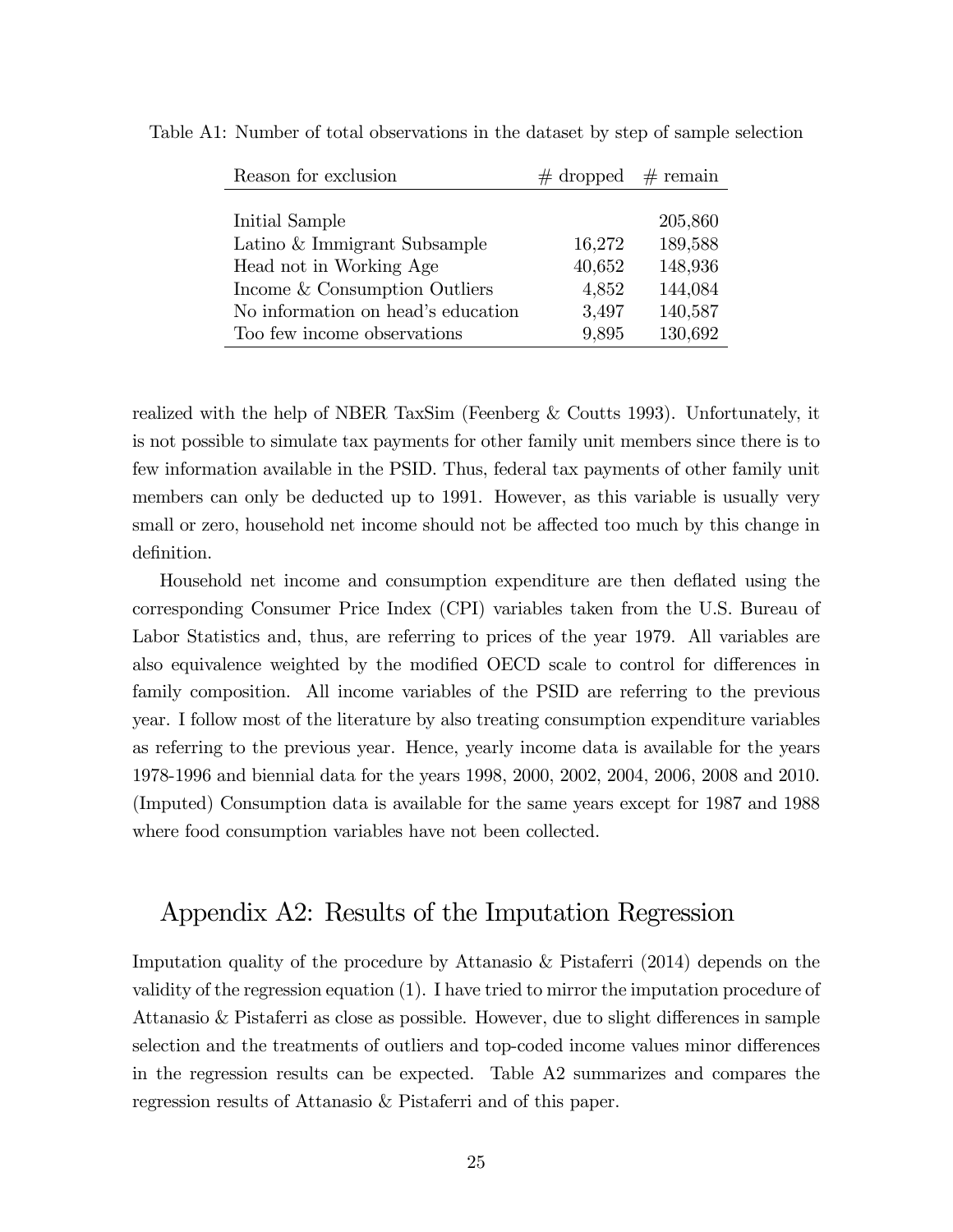| Reason for exclusion               | $\#$ dropped $\#$ remain |         |
|------------------------------------|--------------------------|---------|
|                                    |                          |         |
| Initial Sample                     |                          | 205,860 |
| Latino & Immigrant Subsample       | 16,272                   | 189,588 |
| Head not in Working Age            | 40,652                   | 148,936 |
| Income & Consumption Outliers      | 4,852                    | 144,084 |
| No information on head's education | 3,497                    | 140,587 |
| Too few income observations        | 9,895                    | 130,692 |

Table A1: Number of total observations in the dataset by step of sample selection

realized with the help of NBER TaxSim (Feenberg & Coutts 1993). Unfortunately, it is not possible to simulate tax payments for other family unit members since there is to few information available in the PSID. Thus, federal tax payments of other family unit members can only be deducted up to 1991. However, as this variable is usually very small or zero, household net income should not be affected too much by this change in definition.

Household net income and consumption expenditure are then deflated using the corresponding Consumer Price Index (CPI) variables taken from the U.S. Bureau of Labor Statistics and, thus, are referring to prices of the year 1979. All variables are also equivalence weighted by the modified OECD scale to control for differences in family composition. All income variables of the PSID are referring to the previous year. I follow most of the literature by also treating consumption expenditure variables as referring to the previous year. Hence, yearly income data is available for the years 1978-1996 and biennial data for the years 1998, 2000, 2002, 2004, 2006, 2008 and 2010. (Imputed) Consumption data is available for the same years except for 1987 and 1988 where food consumption variables have not been collected.

# Appendix A2: Results of the Imputation Regression

Imputation quality of the procedure by Attanasio & Pistaferri (2014) depends on the validity of the regression equation (1). I have tried to mirror the imputation procedure of Attanasio  $&$  Pistaferri as close as possible. However, due to slight differences in sample selection and the treatments of outliers and top-coded income values minor differences in the regression results can be expected. Table A2 summarizes and compares the regression results of Attanasio & Pistaferri and of this paper.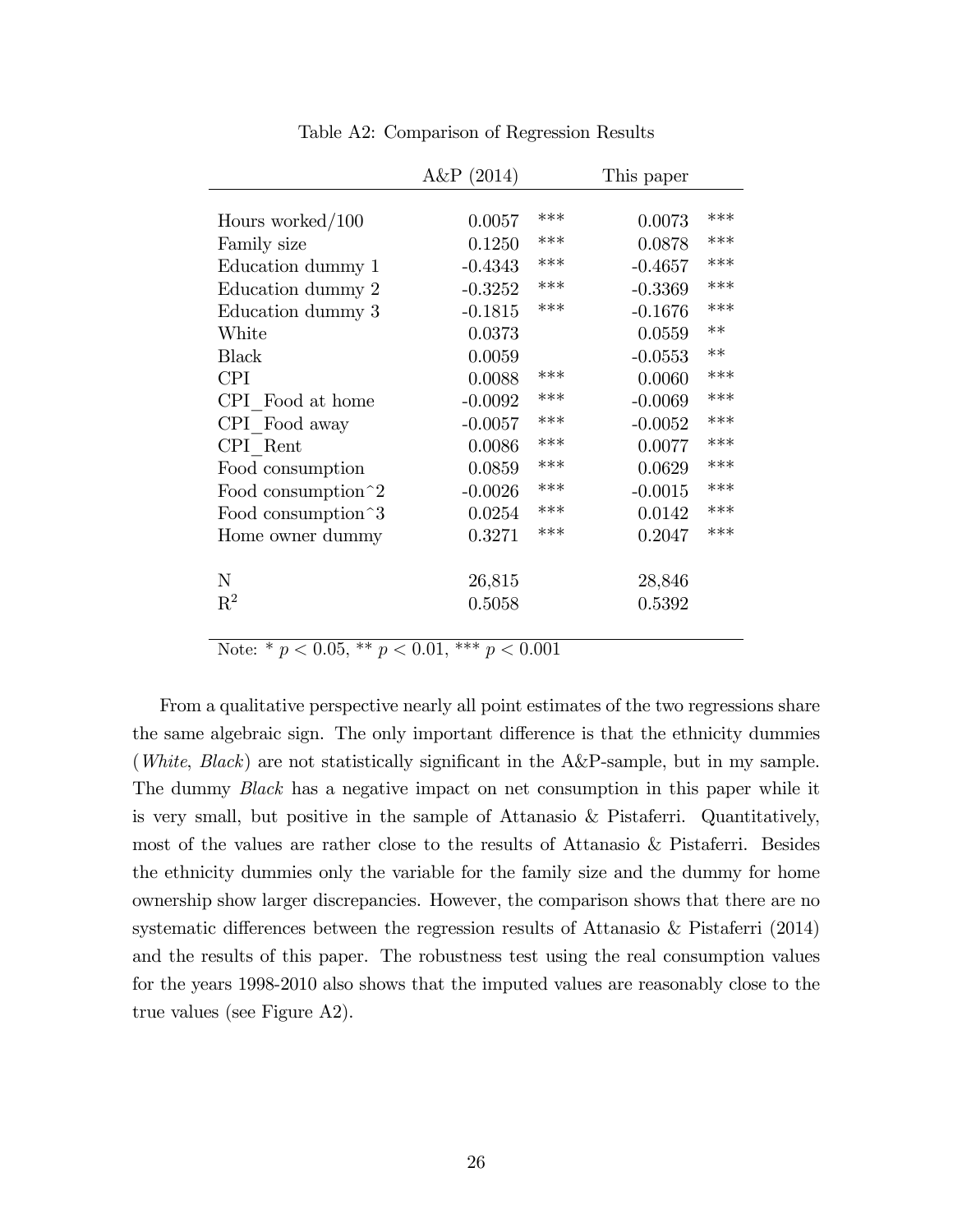|                               | $A\&P(2014)$ |     | This paper |      |
|-------------------------------|--------------|-----|------------|------|
|                               |              |     |            |      |
| Hours worked/ $100$           | 0.0057       | *** | 0.0073     | ***  |
| Family size                   | 0.1250       | *** | 0.0878     | ***  |
| Education dummy 1             | $-0.4343$    | *** | $-0.4657$  | ***  |
| Education dummy 2             | $-0.3252$    | *** | $-0.3369$  | ***  |
| Education dummy 3             | $-0.1815$    | *** | $-0.1676$  | ***  |
| White                         | 0.0373       |     | 0.0559     | $**$ |
| <b>Black</b>                  | 0.0059       |     | $-0.0553$  | $**$ |
| <b>CPI</b>                    | 0.0088       | *** | 0.0060     | ***  |
| CPI Food at home              | $-0.0092$    | *** | $-0.0069$  | ***  |
| CPI Food away                 | $-0.0057$    | *** | $-0.0052$  | ***  |
| CPI Rent                      | 0.0086       | *** | 0.0077     | ***  |
| Food consumption              | 0.0859       | *** | 0.0629     | ***  |
| Food consumption <sup>2</sup> | $-0.0026$    | *** | $-0.0015$  | ***  |
| Food consumption 3            | 0.0254       | *** | 0.0142     | ***  |
| Home owner dummy              | 0.3271       | *** | 0.2047     | ***  |
|                               |              |     |            |      |
| N                             | 26,815       |     | 28,846     |      |
| $\mathrm{R}^2$                | 0.5058       |     | 0.5392     |      |
|                               |              |     |            |      |

Table A2: Comparison of Regression Results

Note: \*  $p < 0.05$ , \*\*  $p < 0.01$ , \*\*\*  $p < 0.001$ 

From a qualitative perspective nearly all point estimates of the two regressions share the same algebraic sign. The only important difference is that the ethnicity dummies (*White*, *Black*) are not statistically significant in the  $A\&P$ -sample, but in my sample. The dummy Black has a negative impact on net consumption in this paper while it is very small, but positive in the sample of Attanasio & Pistaferri. Quantitatively, most of the values are rather close to the results of Attanasio & Pistaferri. Besides the ethnicity dummies only the variable for the family size and the dummy for home ownership show larger discrepancies. However, the comparison shows that there are no systematic differences between the regression results of Attanasio  $\&$  Pistaferri (2014) and the results of this paper. The robustness test using the real consumption values for the years 1998-2010 also shows that the imputed values are reasonably close to the true values (see Figure A2).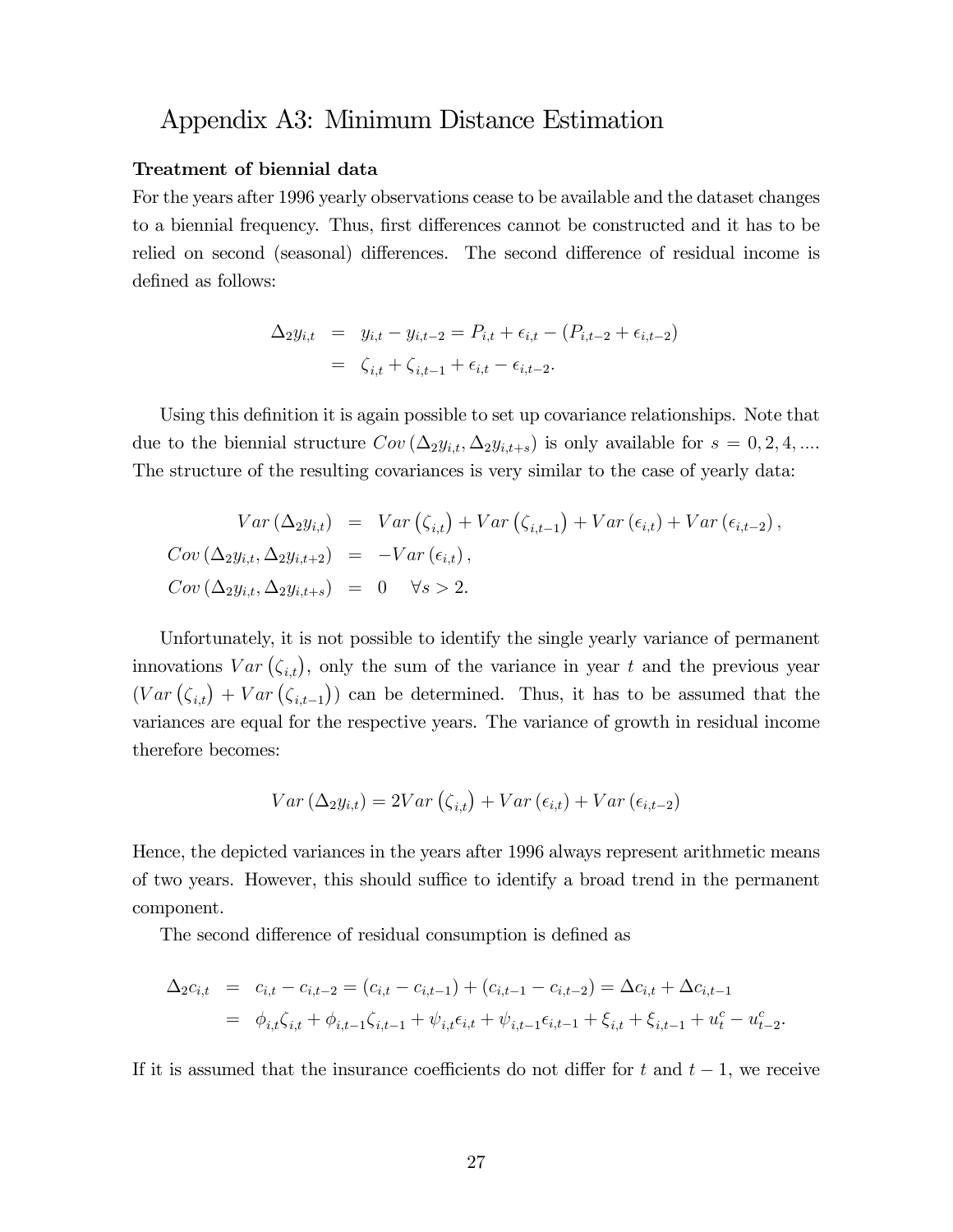# Appendix A3: Minimum Distance Estimation

#### Treatment of biennial data

For the years after 1996 yearly observations cease to be available and the dataset changes to a biennial frequency. Thus, first differences cannot be constructed and it has to be relied on second (seasonal) differences. The second difference of residual income is defined as follows:

$$
\Delta_2 y_{i,t} = y_{i,t} - y_{i,t-2} = P_{i,t} + \epsilon_{i,t} - (P_{i,t-2} + \epsilon_{i,t-2})
$$
  
=  $\zeta_{i,t} + \zeta_{i,t-1} + \epsilon_{i,t} - \epsilon_{i,t-2}.$ 

Using this definition it is again possible to set up covariance relationships. Note that due to the biennial structure  $Cov(\Delta_2 y_{i,t}, \Delta_2 y_{i,t+s})$  is only available for  $s = 0, 2, 4, ...$ The structure of the resulting covariances is very similar to the case of yearly data:

$$
Var (\Delta_2 y_{i,t}) = Var (\zeta_{i,t}) + Var (\zeta_{i,t-1}) + Var (\epsilon_{i,t}) + Var (\epsilon_{i,t-2}),
$$
  
\n
$$
Cov (\Delta_2 y_{i,t}, \Delta_2 y_{i,t+2}) = -Var (\epsilon_{i,t}),
$$
  
\n
$$
Cov (\Delta_2 y_{i,t}, \Delta_2 y_{i,t+s}) = 0 \quad \forall s > 2.
$$

Unfortunately, it is not possible to identify the single yearly variance of permanent innovations  $Var(\zeta_{i,t})$ , only the sum of the variance in year t and the previous year  $(Var(\zeta_{i,t}) + Var(\zeta_{i,t-1}))$  can be determined. Thus, it has to be assumed that the variances are equal for the respective years. The variance of growth in residual income therefore becomes:

$$
Var\left(\Delta_{2}y_{i,t}\right) = 2Var\left(\zeta_{i,t}\right) + Var\left(\epsilon_{i,t}\right) + Var\left(\epsilon_{i,t-2}\right)
$$

Hence, the depicted variances in the years after 1996 always represent arithmetic means of two years. However, this should suffice to identify a broad trend in the permanent component.

The second difference of residual consumption is defined as

$$
\Delta_2 c_{i,t} = c_{i,t} - c_{i,t-2} = (c_{i,t} - c_{i,t-1}) + (c_{i,t-1} - c_{i,t-2}) = \Delta c_{i,t} + \Delta c_{i,t-1}
$$
  
=  $\phi_{i,t} \zeta_{i,t} + \phi_{i,t-1} \zeta_{i,t-1} + \psi_{i,t} \epsilon_{i,t} + \psi_{i,t-1} \epsilon_{i,t-1} + \xi_{i,t} + \xi_{i,t-1} + u_t^c - u_{t-2}^c.$ 

If it is assumed that the insurance coefficients do not differ for t and  $t - 1$ , we receive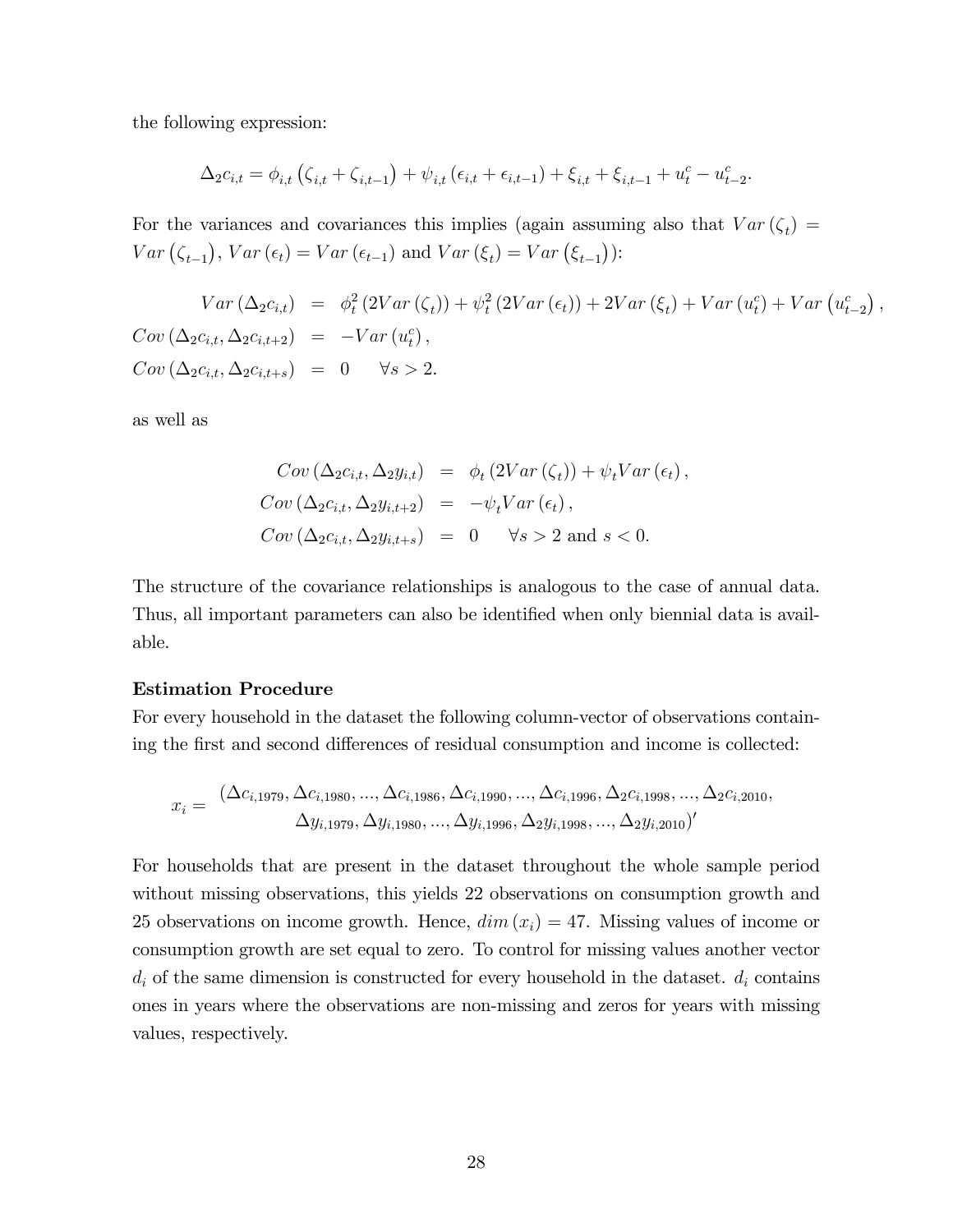the following expression:

$$
\Delta_2 c_{i,t} = \phi_{i,t} \left( \zeta_{i,t} + \zeta_{i,t-1} \right) + \psi_{i,t} \left( \epsilon_{i,t} + \epsilon_{i,t-1} \right) + \xi_{i,t} + \xi_{i,t-1} + u_t^c - u_{t-2}^c.
$$

For the variances and covariances this implies (again assuming also that  $Var(\zeta_t) =$  $Var(\zeta_{t-1}), Var(\epsilon_t) = Var(\epsilon_{t-1})$  and  $Var(\xi_t) = Var(\xi_{t-1})$ :

$$
Var(\Delta_2 c_{i,t}) = \phi_t^2 (2Var(\zeta_t)) + \psi_t^2 (2Var(\epsilon_t)) + 2Var(\xi_t) + Var(u_t^c) + Var(u_{t-2}^c),
$$
  
\n
$$
Cov(\Delta_2 c_{i,t}, \Delta_2 c_{i,t+2}) = -Var(u_t^c),
$$
  
\n
$$
Cov(\Delta_2 c_{i,t}, \Delta_2 c_{i,t+s}) = 0 \quad \forall s > 2.
$$

as well as

$$
Cov (\Delta_2 c_{i,t}, \Delta_2 y_{i,t}) = \phi_t (2Var (\zeta_t)) + \psi_t Var (\epsilon_t),
$$
  
\n
$$
Cov (\Delta_2 c_{i,t}, \Delta_2 y_{i,t+2}) = -\psi_t Var (\epsilon_t),
$$
  
\n
$$
Cov (\Delta_2 c_{i,t}, \Delta_2 y_{i,t+s}) = 0 \quad \forall s > 2 \text{ and } s < 0.
$$

The structure of the covariance relationships is analogous to the case of annual data. Thus, all important parameters can also be identified when only biennial data is available.

#### Estimation Procedure

For every household in the dataset the following column-vector of observations containing the first and second differences of residual consumption and income is collected:

$$
x_i = \frac{(\Delta c_{i,1979}, \Delta c_{i,1980}, ..., \Delta c_{i,1986}, \Delta c_{i,1990}, ..., \Delta c_{i,1996}, \Delta_2 c_{i,1998}, ..., \Delta_2 c_{i,2010}, \Delta y_{i,1979}, \Delta y_{i,1980}, ..., \Delta y_{i,1996}, \Delta_2 y_{i,1998}, ..., \Delta_2 y_{i,2010})'}{\Delta y_{i,1979}, \Delta y_{i,1980}, ..., \Delta y_{i,1996}, \Delta_2 y_{i,1998}, ..., \Delta_2 y_{i,2010})'}
$$

For households that are present in the dataset throughout the whole sample period without missing observations, this yields 22 observations on consumption growth and 25 observations on income growth. Hence,  $dim(x_i) = 47$ . Missing values of income or consumption growth are set equal to zero. To control for missing values another vector  $d_i$  of the same dimension is constructed for every household in the dataset.  $d_i$  contains ones in years where the observations are non-missing and zeros for years with missing values, respectively.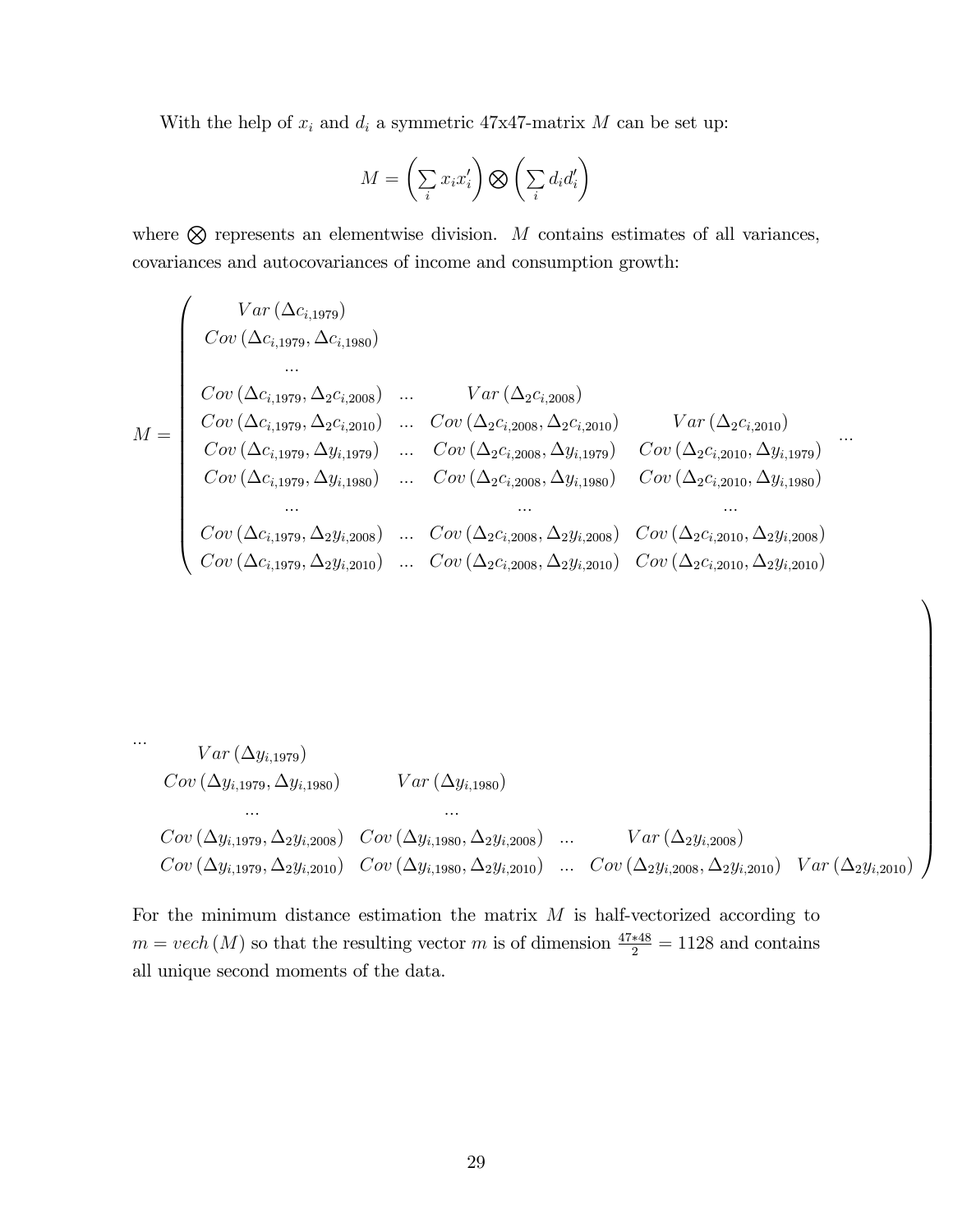With the help of  $x_i$  and  $d_i$  a symmetric 47x47-matrix  $M$  can be set up:

$$
M = \left(\sum_{i} x_i x_i'\right) \bigotimes \left(\sum_{i} d_i d_i'\right)
$$

where  $\otimes$  represents an elementwise division. M contains estimates of all variances, covariances and autocovariances of income and consumption growth:

M = 0 BBBBBBBBBBBBBBBBBBB@ V ar (ci;1979) Cov (ci;1979; ci;1980) ::: Cov (ci;1979; 2ci;2008) ::: V ar (2ci;2008) Cov (ci;1979; 2ci;2010) ::: Cov (2ci;2008; 2ci;2010) V ar (2ci;2010) Cov (ci;1979; yi;1979) ::: Cov (2ci;2008; yi;1979) Cov (2ci;2010; yi;1979) Cov (ci;1979; yi;1980) ::: Cov (2ci;2008; yi;1980) Cov (2ci;2010; yi;1980) ::: ::: ::: Cov (ci;1979; 2yi;2008) ::: Cov (2ci;2008; 2yi;2008) Cov (2ci;2010; 2yi;2008) Cov (ci;1979; 2yi;2010) ::: Cov (2ci;2008; 2yi;2010) Cov (2ci;2010; 2yi;2010) :::

$$
Var (\Delta y_{i,1979})
$$
  
\n
$$
Cov (\Delta y_{i,1979}, \Delta y_{i,1980})
$$
  
\n
$$
Cov (\Delta y_{i,1979}, \Delta_2 y_{i,2008})
$$
  
\n
$$
Cov (\Delta y_{i,1979}, \Delta_2 y_{i,2008})
$$
  
\n
$$
Cov (\Delta y_{i,1979}, \Delta_2 y_{i,2010})
$$
  
\n
$$
Cov (\Delta y_{i,1979}, \Delta_2 y_{i,2010})
$$
  
\n
$$
Cov (\Delta y_{i,1979}, \Delta_2 y_{i,2010})
$$
  
\n
$$
Cov (\Delta y_{i,1979}, \Delta_2 y_{i,2010})
$$
  
\n
$$
Cov (\Delta y_{i,1979}, \Delta_2 y_{i,2010})
$$
  
\n
$$
Cov (\Delta y_{i,1979}, \Delta_2 y_{i,2010})
$$

1

For the minimum distance estimation the matrix  $M$  is half-vectorized according to  $m = vech (M)$  so that the resulting vector m is of dimension  $\frac{47*48}{2} = 1128$  and contains all unique second moments of the data.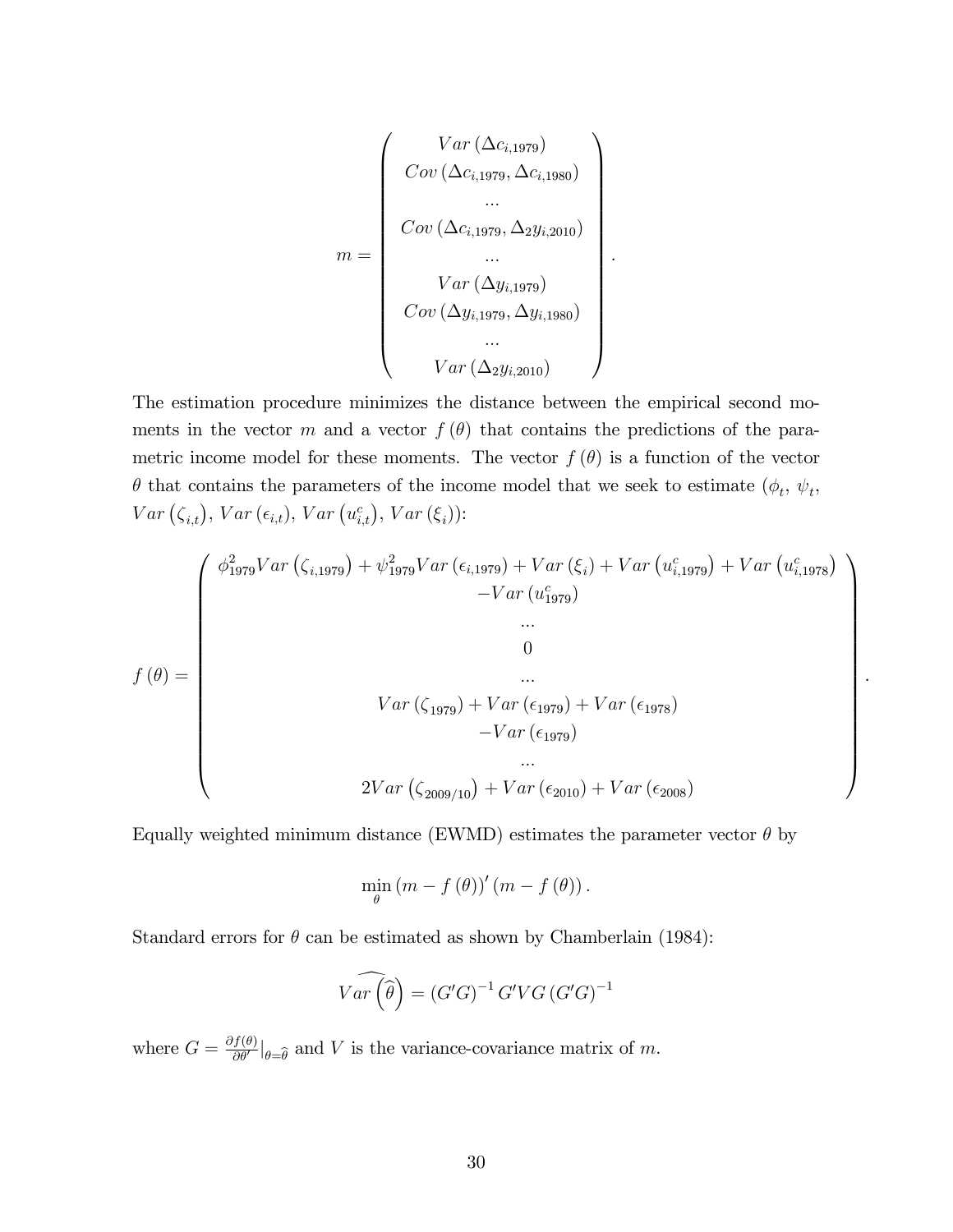$$
m = \begin{pmatrix} Var (\Delta c_{i,1979}) \\ Cov (\Delta c_{i,1979}, \Delta c_{i,1980}) \\ \dots \\ Cov (\Delta c_{i,1979}, \Delta_2 y_{i,2010}) \\ \dots \\ Var (\Delta y_{i,1979}) \\ Cov (\Delta y_{i,1979}, \Delta y_{i,1980}) \\ \dots \\ Var (\Delta_2 y_{i,2010}) \end{pmatrix}
$$

.

.

The estimation procedure minimizes the distance between the empirical second moments in the vector m and a vector  $f(\theta)$  that contains the predictions of the parametric income model for these moments. The vector  $f(\theta)$  is a function of the vector  $\theta$  that contains the parameters of the income model that we seek to estimate  $(\phi_t, \psi_t, \phi_t)$  $Var\left(\zeta_{i,t}\right), Var\left(\epsilon_{i,t}\right), Var\left(u_{i,t}^c\right), Var\left(\xi_i\right))$ :

$$
f(\theta) = \begin{pmatrix} \phi_{1979}^2 Var(\zeta_{i,1979}) + \psi_{1979}^2 Var(\epsilon_{i,1979}) + Var(\zeta_i) + Var(u_{i,1979}^c) + Var(u_{i,1978}^c) \\ -Var(u_{1979}^c) \\ \dots \\ 0 \\ Var(\zeta_{1979}) + Var(\epsilon_{1979}) \\ -Var(\epsilon_{1979}) \end{pmatrix}
$$
  

$$
= Var(\epsilon_{1979})
$$
  

$$
2Var(\zeta_{2009/10}) + Var(\epsilon_{2010}) + Var(\epsilon_{2008})
$$

Equally weighted minimum distance (EWMD) estimates the parameter vector  $\theta$  by

$$
\min_{\theta} (m - f(\theta))' (m - f(\theta)).
$$

Standard errors for  $\theta$  can be estimated as shown by Chamberlain (1984):

$$
\widehat{Var\left(\widehat{\theta}\right)} = \left(G'G\right)^{-1} G'VG \left(G'G\right)^{-1}
$$

where  $G = \frac{\partial f(\theta)}{\partial \theta'}|_{\theta = \widehat{\theta}}$  and V is the variance-covariance matrix of m.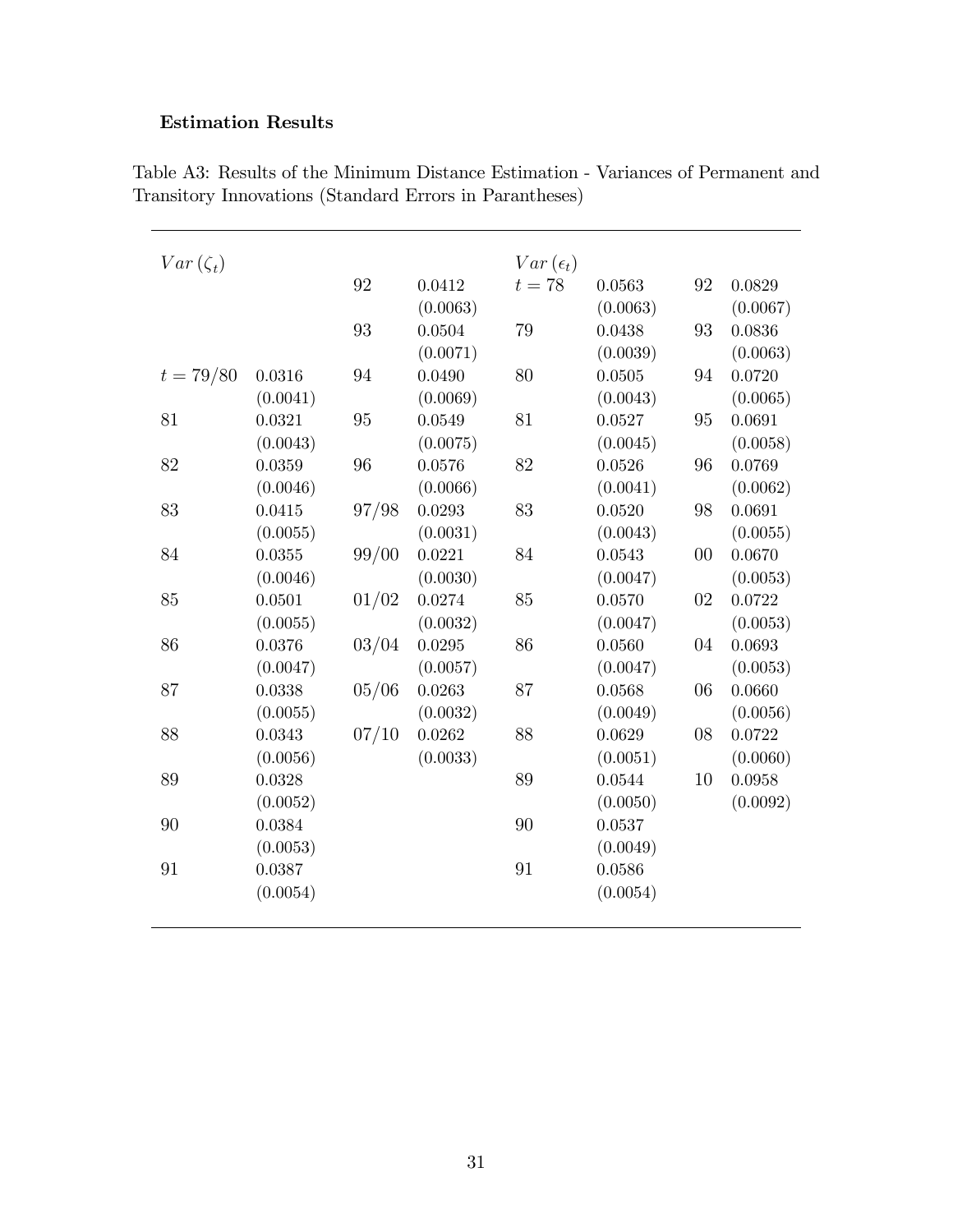### Estimation Results

| $Var(\zeta_t)$ |          |       |          | $Var(\epsilon_t)$ |          |    |          |
|----------------|----------|-------|----------|-------------------|----------|----|----------|
|                |          | 92    | 0.0412   | $t=78$            | 0.0563   | 92 | 0.0829   |
|                |          |       | (0.0063) |                   | (0.0063) |    | (0.0067) |
|                |          | 93    | 0.0504   | 79                | 0.0438   | 93 | 0.0836   |
|                |          |       | (0.0071) |                   | (0.0039) |    | (0.0063) |
| $t = 79/80$    | 0.0316   | 94    | 0.0490   | 80                | 0.0505   | 94 | 0.0720   |
|                | (0.0041) |       | (0.0069) |                   | (0.0043) |    | (0.0065) |
| 81             | 0.0321   | 95    | 0.0549   | 81                | 0.0527   | 95 | 0.0691   |
|                | (0.0043) |       | (0.0075) |                   | (0.0045) |    | (0.0058) |
| 82             | 0.0359   | 96    | 0.0576   | 82                | 0.0526   | 96 | 0.0769   |
|                | (0.0046) |       | (0.0066) |                   | (0.0041) |    | (0.0062) |
| 83             | 0.0415   | 97/98 | 0.0293   | 83                | 0.0520   | 98 | 0.0691   |
|                | (0.0055) |       | (0.0031) |                   | (0.0043) |    | (0.0055) |
| 84             | 0.0355   | 99/00 | 0.0221   | 84                | 0.0543   | 00 | 0.0670   |
|                | (0.0046) |       | (0.0030) |                   | (0.0047) |    | (0.0053) |
| 85             | 0.0501   | 01/02 | 0.0274   | 85                | 0.0570   | 02 | 0.0722   |
|                | (0.0055) |       | (0.0032) |                   | (0.0047) |    | (0.0053) |
| 86             | 0.0376   | 03/04 | 0.0295   | 86                | 0.0560   | 04 | 0.0693   |
|                | (0.0047) |       | (0.0057) |                   | (0.0047) |    | (0.0053) |
| 87             | 0.0338   | 05/06 | 0.0263   | 87                | 0.0568   | 06 | 0.0660   |
|                | (0.0055) |       | (0.0032) |                   | (0.0049) |    | (0.0056) |
| 88             | 0.0343   | 07/10 | 0.0262   | 88                | 0.0629   | 08 | 0.0722   |
|                | (0.0056) |       | (0.0033) |                   | (0.0051) |    | (0.0060) |
| 89             | 0.0328   |       |          | 89                | 0.0544   | 10 | 0.0958   |
|                | (0.0052) |       |          |                   | (0.0050) |    | (0.0092) |
| 90             | 0.0384   |       |          | 90                | 0.0537   |    |          |
|                | (0.0053) |       |          |                   | (0.0049) |    |          |
| 91             | 0.0387   |       |          | 91                | 0.0586   |    |          |
|                | (0.0054) |       |          |                   | (0.0054) |    |          |
|                |          |       |          |                   |          |    |          |

Table A3: Results of the Minimum Distance Estimation - Variances of Permanent and Transitory Innovations (Standard Errors in Parantheses)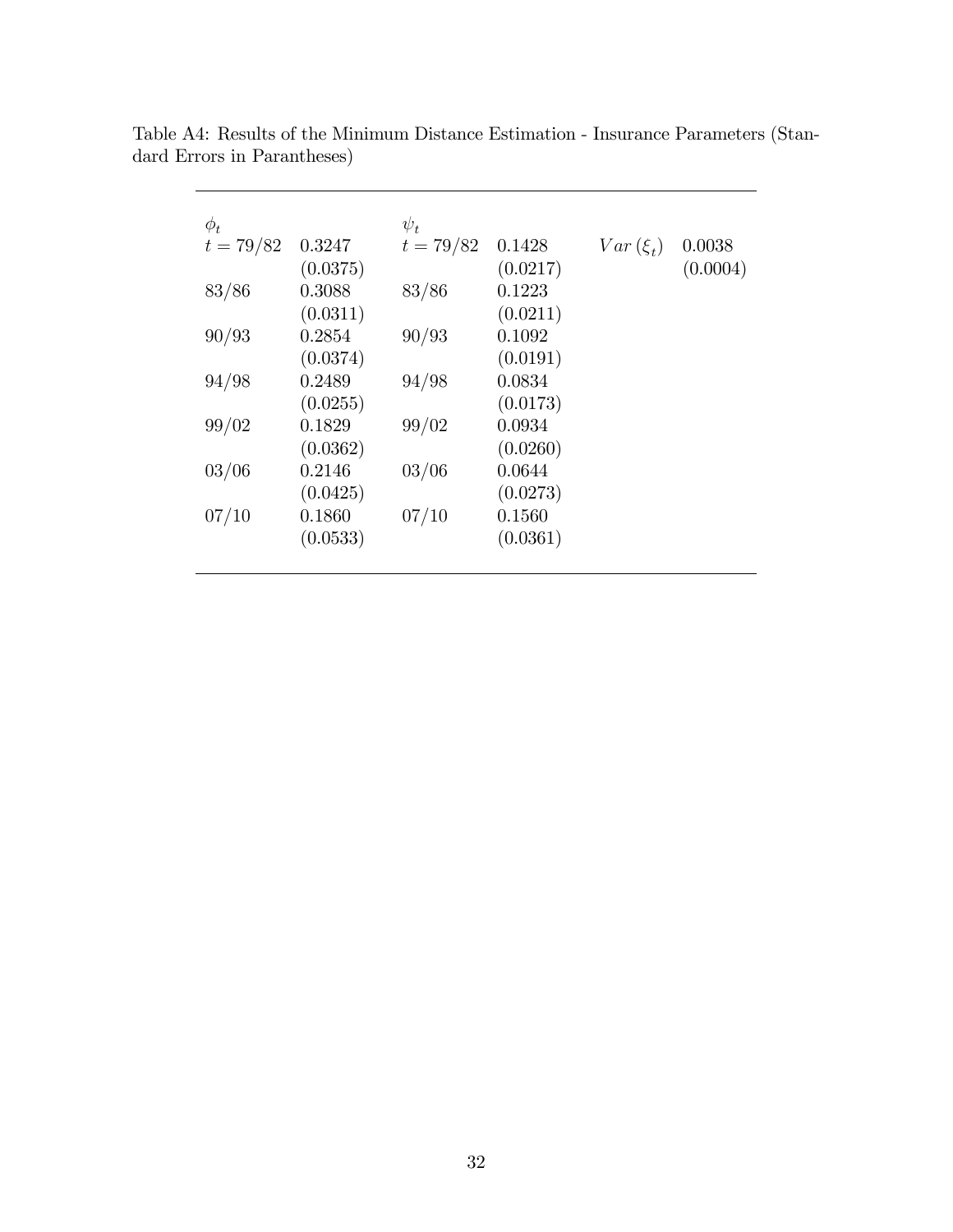| $\phi_t$    |          | $\psi_t$    |          |              |          |
|-------------|----------|-------------|----------|--------------|----------|
| $t = 79/82$ | 0.3247   | $t = 79/82$ | 0.1428   | $Var(\xi_t)$ | 0.0038   |
|             | (0.0375) |             | (0.0217) |              | (0.0004) |
| 83/86       | 0.3088   | 83/86       | 0.1223   |              |          |
|             | (0.0311) |             | (0.0211) |              |          |
| 90/93       | 0.2854   | 90/93       | 0.1092   |              |          |
|             | (0.0374) |             | (0.0191) |              |          |
| 94/98       | 0.2489   | 94/98       | 0.0834   |              |          |
|             | (0.0255) |             | (0.0173) |              |          |
| 99/02       | 0.1829   | 99/02       | 0.0934   |              |          |
|             | (0.0362) |             | (0.0260) |              |          |
| 03/06       | 0.2146   | 03/06       | 0.0644   |              |          |
|             | (0.0425) |             | (0.0273) |              |          |
| 07/10       | 0.1860   | 07/10       | 0.1560   |              |          |
|             | (0.0533) |             | (0.0361) |              |          |
|             |          |             |          |              |          |

Table A4: Results of the Minimum Distance Estimation - Insurance Parameters (Standard Errors in Parantheses)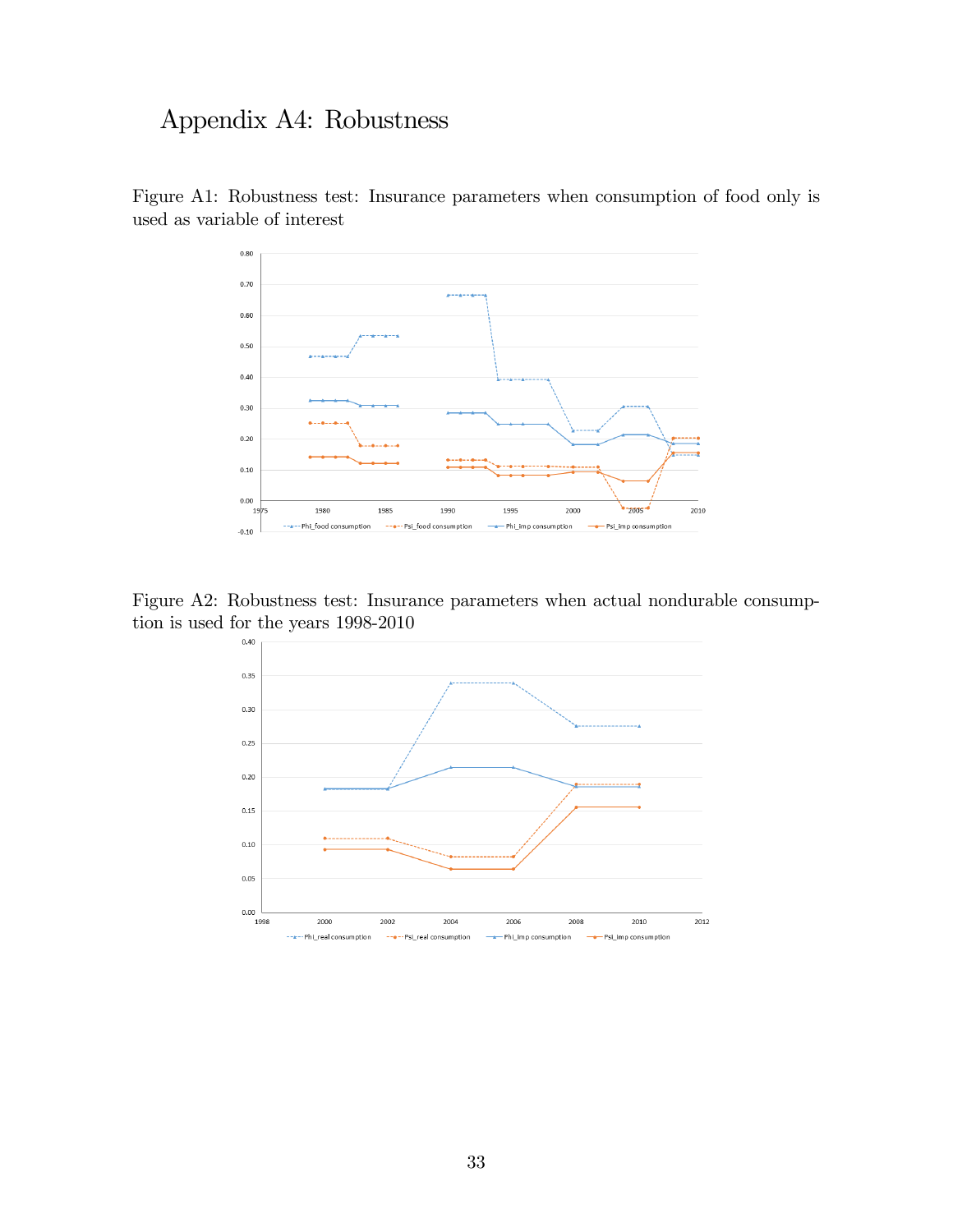# Appendix A4: Robustness



Figure A1: Robustness test: Insurance parameters when consumption of food only is used as variable of interest

Figure A2: Robustness test: Insurance parameters when actual nondurable consumption is used for the years  $1998-2010$ 

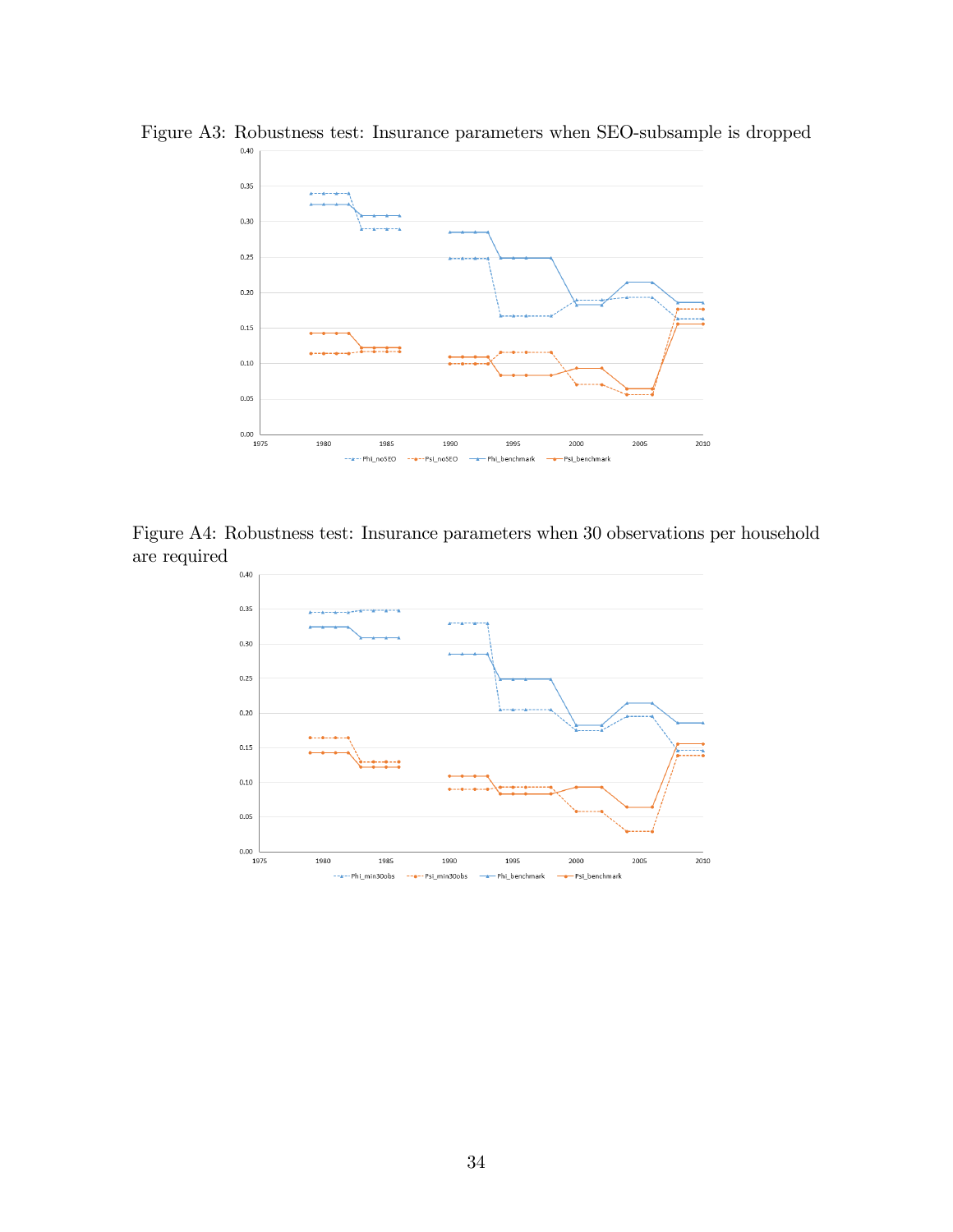

Figure A3: Robustness test: Insurance parameters when SEO-subsample is dropped

Figure A4: Robustness test: Insurance parameters when 30 observations per household are required

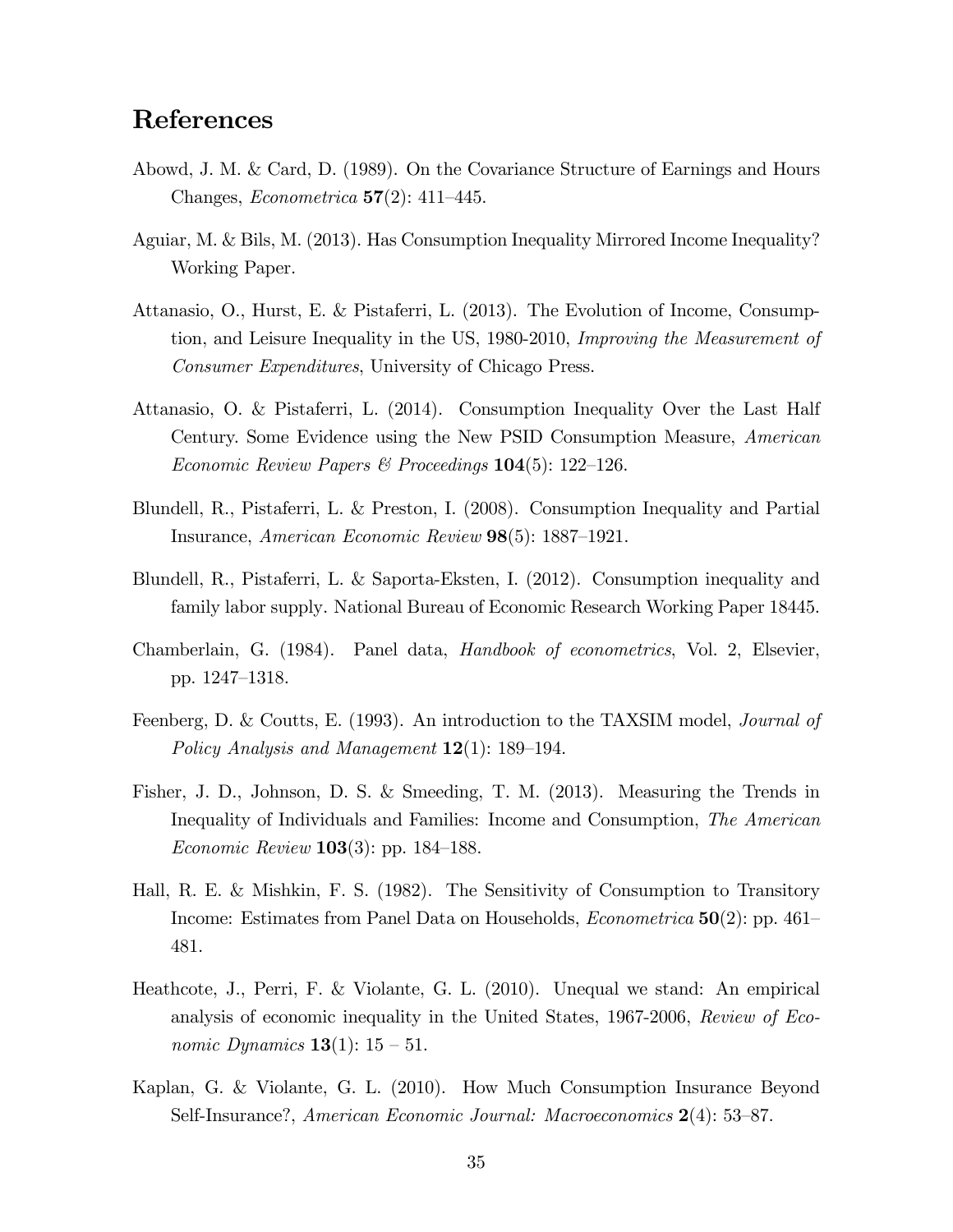# References

- Abowd, J. M. & Card, D. (1989). On the Covariance Structure of Earnings and Hours Changes, *Econometrica* 57(2): 411–445.
- Aguiar, M. & Bils, M. (2013). Has Consumption Inequality Mirrored Income Inequality? Working Paper.
- Attanasio, O., Hurst, E. & Pistaferri, L. (2013). The Evolution of Income, Consumption, and Leisure Inequality in the US, 1980-2010, Improving the Measurement of Consumer Expenditures, University of Chicago Press.
- Attanasio, O. & Pistaferri, L. (2014). Consumption Inequality Over the Last Half Century. Some Evidence using the New PSID Consumption Measure, American Economic Review Papers & Proceedings  $104(5)$ : 122–126.
- Blundell, R., Pistaferri, L. & Preston, I. (2008). Consumption Inequality and Partial Insurance, American Economic Review  $98(5)$ : 1887–1921.
- Blundell, R., Pistaferri, L. & Saporta-Eksten, I. (2012). Consumption inequality and family labor supply. National Bureau of Economic Research Working Paper 18445.
- Chamberlain, G. (1984). Panel data, Handbook of econometrics, Vol. 2, Elsevier, pp. 1247–1318.
- Feenberg, D. & Coutts, E. (1993). An introduction to the TAXSIM model, Journal of Policy Analysis and Management  $12(1)$ : 189–194.
- Fisher, J. D., Johnson, D. S. & Smeeding, T. M. (2013). Measuring the Trends in Inequality of Individuals and Families: Income and Consumption, The American *Economic Review* **103** $(3)$ : pp. 184–188.
- Hall, R. E. & Mishkin, F. S. (1982). The Sensitivity of Consumption to Transitory Income: Estimates from Panel Data on Households, *Econometrica*  $50(2)$ : pp. 461– 481.
- Heathcote, J., Perri, F. & Violante, G. L. (2010). Unequal we stand: An empirical analysis of economic inequality in the United States, 1967-2006, Review of Eco*nomic Dynamics* **13**(1):  $15 - 51$ .
- Kaplan, G. & Violante, G. L. (2010). How Much Consumption Insurance Beyond Self-Insurance?, American Economic Journal: Macroeconomics  $2(4)$ : 53–87.